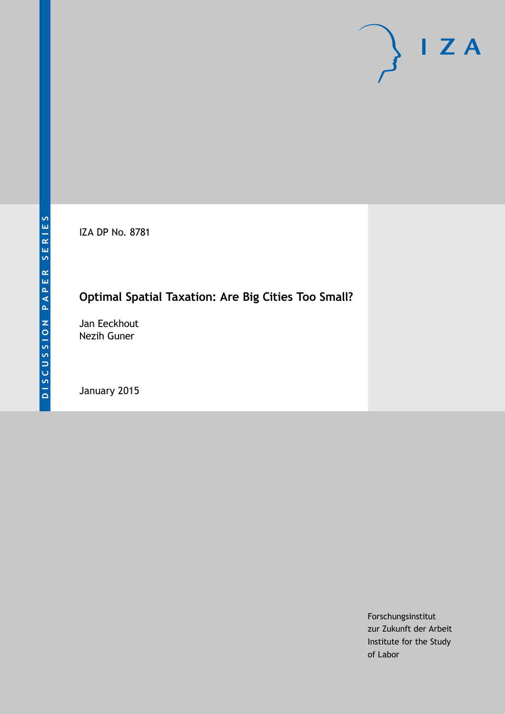IZA DP No. 8781

## **Optimal Spatial Taxation: Are Big Cities Too Small?**

Jan Eeckhout Nezih Guner

January 2015

Forschungsinstitut zur Zukunft der Arbeit Institute for the Study of Labor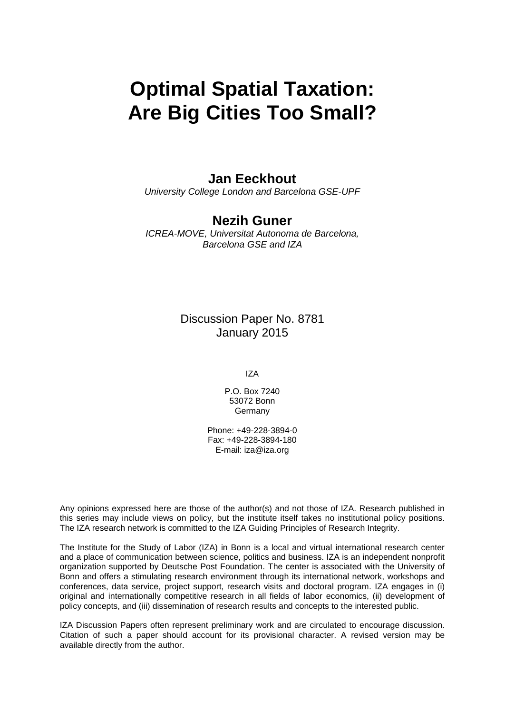# **Optimal Spatial Taxation: Are Big Cities Too Small?**

## **Jan Eeckhout**

*University College London and Barcelona GSE-UPF*

## **Nezih Guner**

*ICREA-MOVE, Universitat Autonoma de Barcelona, Barcelona GSE and IZA*

> Discussion Paper No. 8781 January 2015

> > IZA

P.O. Box 7240 53072 Bonn Germany

Phone: +49-228-3894-0 Fax: +49-228-3894-180 E-mail: [iza@iza.org](mailto:iza@iza.org)

Any opinions expressed here are those of the author(s) and not those of IZA. Research published in this series may include views on policy, but the institute itself takes no institutional policy positions. The IZA research network is committed to the IZA Guiding Principles of Research Integrity.

The Institute for the Study of Labor (IZA) in Bonn is a local and virtual international research center and a place of communication between science, politics and business. IZA is an independent nonprofit organization supported by Deutsche Post Foundation. The center is associated with the University of Bonn and offers a stimulating research environment through its international network, workshops and conferences, data service, project support, research visits and doctoral program. IZA engages in (i) original and internationally competitive research in all fields of labor economics, (ii) development of policy concepts, and (iii) dissemination of research results and concepts to the interested public.

<span id="page-1-0"></span>IZA Discussion Papers often represent preliminary work and are circulated to encourage discussion. Citation of such a paper should account for its provisional character. A revised version may be available directly from the author.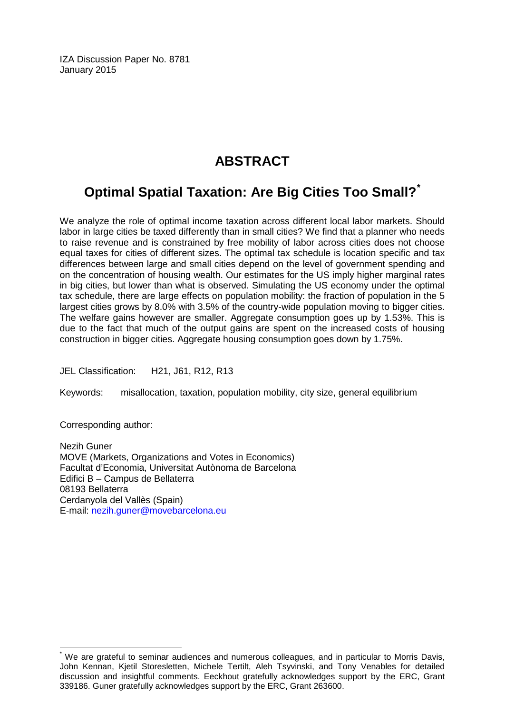IZA Discussion Paper No. 8781 January 2015

## **ABSTRACT**

## **Optimal Spatial Taxation: Are Big Cities Too Small?[\\*](#page-1-0)**

We analyze the role of optimal income taxation across different local labor markets. Should labor in large cities be taxed differently than in small cities? We find that a planner who needs to raise revenue and is constrained by free mobility of labor across cities does not choose equal taxes for cities of different sizes. The optimal tax schedule is location specific and tax differences between large and small cities depend on the level of government spending and on the concentration of housing wealth. Our estimates for the US imply higher marginal rates in big cities, but lower than what is observed. Simulating the US economy under the optimal tax schedule, there are large effects on population mobility: the fraction of population in the 5 largest cities grows by 8.0% with 3.5% of the country-wide population moving to bigger cities. The welfare gains however are smaller. Aggregate consumption goes up by 1.53%. This is due to the fact that much of the output gains are spent on the increased costs of housing construction in bigger cities. Aggregate housing consumption goes down by 1.75%.

JEL Classification: H21, J61, R12, R13

Keywords: misallocation, taxation, population mobility, city size, general equilibrium

Corresponding author:

Nezih Guner MOVE (Markets, Organizations and Votes in Economics) Facultat d'Economia, Universitat Autònoma de Barcelona Edifici B – Campus de Bellaterra 08193 Bellaterra Cerdanyola del Vallès (Spain) E-mail: [nezih.guner@movebarcelona.eu](mailto:nezih.guner@movebarcelona.eu)

We are grateful to seminar audiences and numerous colleagues, and in particular to Morris Davis, John Kennan, Kjetil Storesletten, Michele Tertilt, Aleh Tsyvinski, and Tony Venables for detailed discussion and insightful comments. Eeckhout gratefully acknowledges support by the ERC, Grant 339186. Guner gratefully acknowledges support by the ERC, Grant 263600.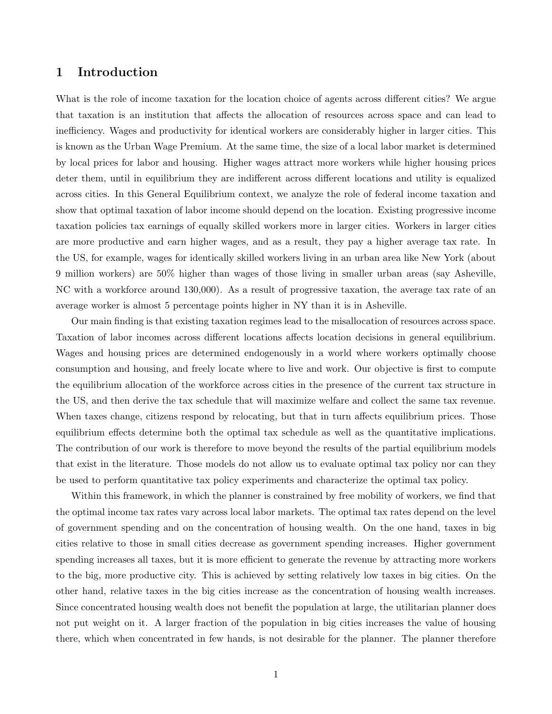#### 1 Introduction

What is the role of income taxation for the location choice of agents across different cities? We argue that taxation is an institution that affects the allocation of resources across space and can lead to inefficiency. Wages and productivity for identical workers are considerably higher in larger cities. This is known as the Urban Wage Premium. At the same time, the size of a local labor market is determined by local prices for labor and housing. Higher wages attract more workers while higher housing prices deter them, until in equilibrium they are indifferent across different locations and utility is equalized across cities. In this General Equilibrium context, we analyze the role of federal income taxation and show that optimal taxation of labor income should depend on the location. Existing progressive income taxation policies tax earnings of equally skilled workers more in larger cities. Workers in larger cities are more productive and earn higher wages, and as a result, they pay a higher average tax rate. In the US, for example, wages for identically skilled workers living in an urban area like New York (about 9 million workers) are 50% higher than wages of those living in smaller urban areas (say Asheville, NC with a workforce around 130,000). As a result of progressive taxation, the average tax rate of an average worker is almost 5 percentage points higher in NY than it is in Asheville.

Our main finding is that existing taxation regimes lead to the misallocation of resources across space. Taxation of labor incomes across different locations affects location decisions in general equilibrium. Wages and housing prices are determined endogenously in a world where workers optimally choose consumption and housing, and freely locate where to live and work. Our objective is first to compute the equilibrium allocation of the workforce across cities in the presence of the current tax structure in the US, and then derive the tax schedule that will maximize welfare and collect the same tax revenue. When taxes change, citizens respond by relocating, but that in turn affects equilibrium prices. Those equilibrium effects determine both the optimal tax schedule as well as the quantitative implications. The contribution of our work is therefore to move beyond the results of the partial equilibrium models that exist in the literature. Those models do not allow us to evaluate optimal tax policy nor can they be used to perform quantitative tax policy experiments and characterize the optimal tax policy.

Within this framework, in which the planner is constrained by free mobility of workers, we find that the optimal income tax rates vary across local labor markets. The optimal tax rates depend on the level of government spending and on the concentration of housing wealth. On the one hand, taxes in big cities relative to those in small cities decrease as government spending increases. Higher government spending increases all taxes, but it is more efficient to generate the revenue by attracting more workers to the big, more productive city. This is achieved by setting relatively low taxes in big cities. On the other hand, relative taxes in the big cities increase as the concentration of housing wealth increases. Since concentrated housing wealth does not benefit the population at large, the utilitarian planner does not put weight on it. A larger fraction of the population in big cities increases the value of housing there, which when concentrated in few hands, is not desirable for the planner. The planner therefore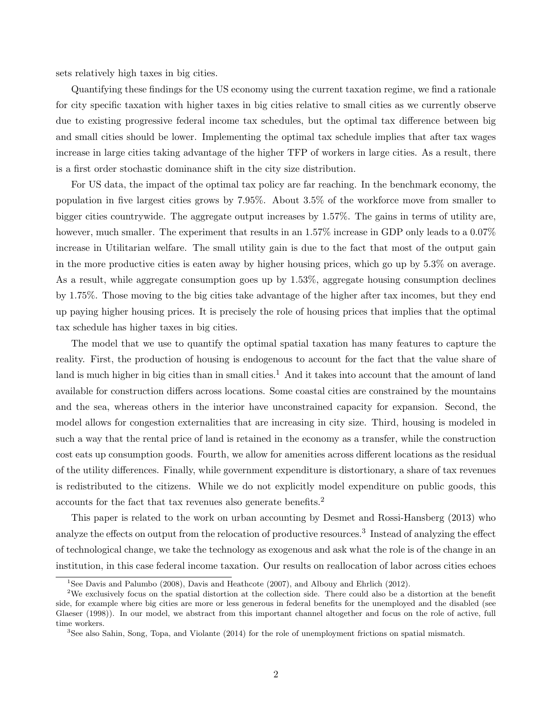sets relatively high taxes in big cities.

Quantifying these findings for the US economy using the current taxation regime, we find a rationale for city specific taxation with higher taxes in big cities relative to small cities as we currently observe due to existing progressive federal income tax schedules, but the optimal tax difference between big and small cities should be lower. Implementing the optimal tax schedule implies that after tax wages increase in large cities taking advantage of the higher TFP of workers in large cities. As a result, there is a first order stochastic dominance shift in the city size distribution.

For US data, the impact of the optimal tax policy are far reaching. In the benchmark economy, the population in five largest cities grows by 7.95%. About 3.5% of the workforce move from smaller to bigger cities countrywide. The aggregate output increases by 1.57%. The gains in terms of utility are, however, much smaller. The experiment that results in an 1.57% increase in GDP only leads to a 0.07% increase in Utilitarian welfare. The small utility gain is due to the fact that most of the output gain in the more productive cities is eaten away by higher housing prices, which go up by 5.3% on average. As a result, while aggregate consumption goes up by 1.53%, aggregate housing consumption declines by 1.75%. Those moving to the big cities take advantage of the higher after tax incomes, but they end up paying higher housing prices. It is precisely the role of housing prices that implies that the optimal tax schedule has higher taxes in big cities.

The model that we use to quantify the optimal spatial taxation has many features to capture the reality. First, the production of housing is endogenous to account for the fact that the value share of land is much higher in big cities than in small cities.<sup>1</sup> And it takes into account that the amount of land available for construction differs across locations. Some coastal cities are constrained by the mountains and the sea, whereas others in the interior have unconstrained capacity for expansion. Second, the model allows for congestion externalities that are increasing in city size. Third, housing is modeled in such a way that the rental price of land is retained in the economy as a transfer, while the construction cost eats up consumption goods. Fourth, we allow for amenities across different locations as the residual of the utility differences. Finally, while government expenditure is distortionary, a share of tax revenues is redistributed to the citizens. While we do not explicitly model expenditure on public goods, this accounts for the fact that tax revenues also generate benefits.<sup>2</sup>

This paper is related to the work on urban accounting by Desmet and Rossi-Hansberg (2013) who analyze the effects on output from the relocation of productive resources.<sup>3</sup> Instead of analyzing the effect of technological change, we take the technology as exogenous and ask what the role is of the change in an institution, in this case federal income taxation. Our results on reallocation of labor across cities echoes

<sup>&</sup>lt;sup>1</sup>See Davis and Palumbo (2008), Davis and Heathcote (2007), and Albouy and Ehrlich (2012).

<sup>&</sup>lt;sup>2</sup>We exclusively focus on the spatial distortion at the collection side. There could also be a distortion at the benefit side, for example where big cities are more or less generous in federal benefits for the unemployed and the disabled (see Glaeser (1998)). In our model, we abstract from this important channel altogether and focus on the role of active, full time workers.

<sup>3</sup>See also Sahin, Song, Topa, and Violante (2014) for the role of unemployment frictions on spatial mismatch.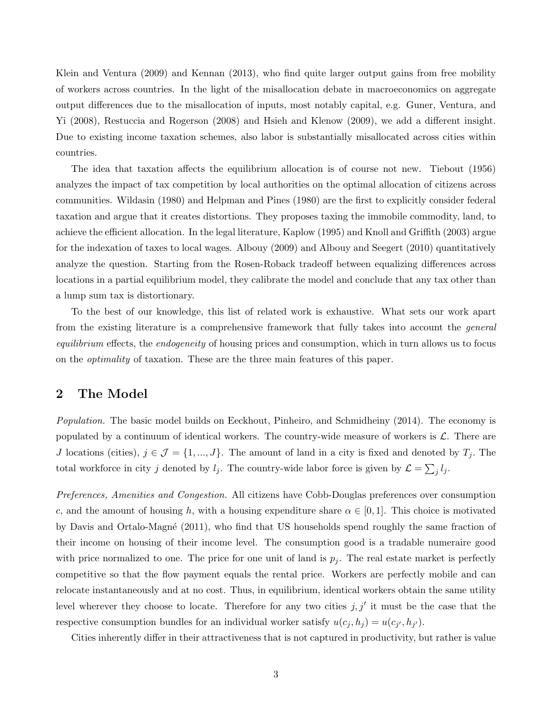Klein and Ventura (2009) and Kennan (2013), who find quite larger output gains from free mobility of workers across countries. In the light of the misallocation debate in macroeconomics on aggregate output differences due to the misallocation of inputs, most notably capital, e.g. Guner, Ventura, and Yi (2008), Restuccia and Rogerson (2008) and Hsieh and Klenow (2009), we add a different insight. Due to existing income taxation schemes, also labor is substantially misallocated across cities within countries.

The idea that taxation affects the equilibrium allocation is of course not new. Tiebout (1956) analyzes the impact of tax competition by local authorities on the optimal allocation of citizens across communities. Wildasin (1980) and Helpman and Pines (1980) are the first to explicitly consider federal taxation and argue that it creates distortions. They proposes taxing the immobile commodity, land, to achieve the efficient allocation. In the legal literature, Kaplow (1995) and Knoll and Griffith (2003) argue for the indexation of taxes to local wages. Albouy (2009) and Albouy and Seegert (2010) quantitatively analyze the question. Starting from the Rosen-Roback tradeoff between equalizing differences across locations in a partial equilibrium model, they calibrate the model and conclude that any tax other than a lump sum tax is distortionary.

To the best of our knowledge, this list of related work is exhaustive. What sets our work apart from the existing literature is a comprehensive framework that fully takes into account the general equilibrium effects, the endogeneity of housing prices and consumption, which in turn allows us to focus on the optimality of taxation. These are the three main features of this paper.

#### 2 The Model

Population. The basic model builds on Eeckhout, Pinheiro, and Schmidheiny (2014). The economy is populated by a continuum of identical workers. The country-wide measure of workers is  $\mathcal{L}$ . There are J locations (cities),  $j \in \mathcal{J} = \{1, ..., J\}$ . The amount of land in a city is fixed and denoted by  $T_j$ . The total workforce in city j denoted by  $l_j$ . The country-wide labor force is given by  $\mathcal{L} = \sum_j l_j$ .

Preferences, Amenities and Congestion. All citizens have Cobb-Douglas preferences over consumption c, and the amount of housing h, with a housing expenditure share  $\alpha \in [0,1]$ . This choice is motivated by Davis and Ortalo-Magné (2011), who find that US households spend roughly the same fraction of their income on housing of their income level. The consumption good is a tradable numeraire good with price normalized to one. The price for one unit of land is  $p_j$ . The real estate market is perfectly competitive so that the flow payment equals the rental price. Workers are perfectly mobile and can relocate instantaneously and at no cost. Thus, in equilibrium, identical workers obtain the same utility level wherever they choose to locate. Therefore for any two cities  $j, j'$  it must be the case that the respective consumption bundles for an individual worker satisfy  $u(c_j, h_j) = u(c_{j'}, h_{j'})$ .

Cities inherently differ in their attractiveness that is not captured in productivity, but rather is value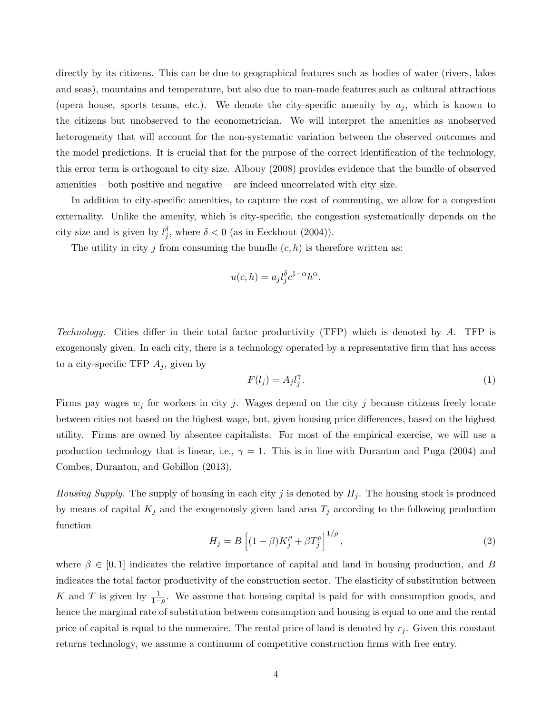directly by its citizens. This can be due to geographical features such as bodies of water (rivers, lakes and seas), mountains and temperature, but also due to man-made features such as cultural attractions (opera house, sports teams, etc.). We denote the city-specific amenity by  $a_j$ , which is known to the citizens but unobserved to the econometrician. We will interpret the amenities as unobserved heterogeneity that will account for the non-systematic variation between the observed outcomes and the model predictions. It is crucial that for the purpose of the correct identification of the technology, this error term is orthogonal to city size. Albouy (2008) provides evidence that the bundle of observed amenities – both positive and negative – are indeed uncorrelated with city size.

In addition to city-specific amenities, to capture the cost of commuting, we allow for a congestion externality. Unlike the amenity, which is city-specific, the congestion systematically depends on the city size and is given by  $l_j^{\delta}$ , where  $\delta < 0$  (as in Eeckhout (2004)).

The utility in city j from consuming the bundle  $(c, h)$  is therefore written as:

$$
u(c,h) = a_j l_j^{\delta} c^{1-\alpha} h^{\alpha}.
$$

Technology. Cities differ in their total factor productivity (TFP) which is denoted by A. TFP is exogenously given. In each city, there is a technology operated by a representative firm that has access to a city-specific TFP  $A_j$ , given by

$$
F(l_j) = A_j l_j^{\gamma}.
$$
\n<sup>(1)</sup>

Firms pay wages  $w_j$  for workers in city j. Wages depend on the city j because citizens freely locate between cities not based on the highest wage, but, given housing price differences, based on the highest utility. Firms are owned by absentee capitalists. For most of the empirical exercise, we will use a production technology that is linear, i.e.,  $\gamma = 1$ . This is in line with Duranton and Puga (2004) and Combes, Duranton, and Gobillon (2013).

*Housing Supply.* The supply of housing in each city j is denoted by  $H_j$ . The housing stock is produced by means of capital  $K_j$  and the exogenously given land area  $T_j$  according to the following production function

$$
H_j = B\left[ (1 - \beta)K_j^{\rho} + \beta T_j^{\rho} \right]^{1/\rho},\tag{2}
$$

where  $\beta \in [0, 1]$  indicates the relative importance of capital and land in housing production, and B indicates the total factor productivity of the construction sector. The elasticity of substitution between K and T is given by  $\frac{1}{1-\rho}$ . We assume that housing capital is paid for with consumption goods, and hence the marginal rate of substitution between consumption and housing is equal to one and the rental price of capital is equal to the numeraire. The rental price of land is denoted by  $r_j$ . Given this constant returns technology, we assume a continuum of competitive construction firms with free entry.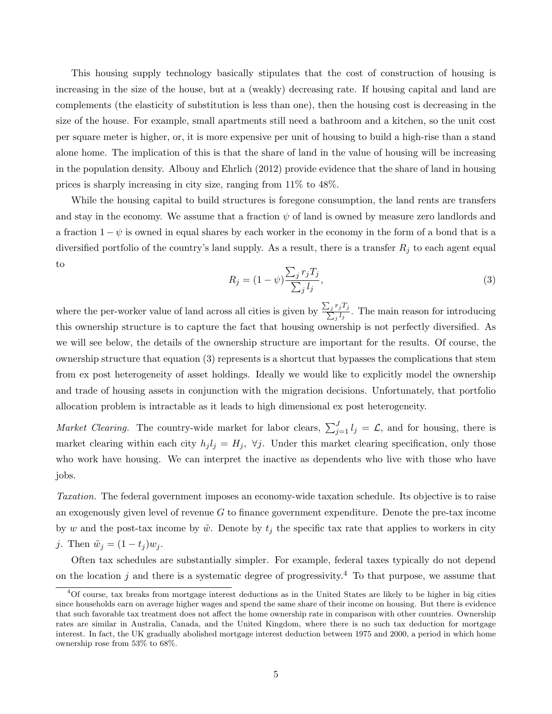This housing supply technology basically stipulates that the cost of construction of housing is increasing in the size of the house, but at a (weakly) decreasing rate. If housing capital and land are complements (the elasticity of substitution is less than one), then the housing cost is decreasing in the size of the house. For example, small apartments still need a bathroom and a kitchen, so the unit cost per square meter is higher, or, it is more expensive per unit of housing to build a high-rise than a stand alone home. The implication of this is that the share of land in the value of housing will be increasing in the population density. Albouy and Ehrlich (2012) provide evidence that the share of land in housing prices is sharply increasing in city size, ranging from 11% to 48%.

While the housing capital to build structures is foregone consumption, the land rents are transfers and stay in the economy. We assume that a fraction  $\psi$  of land is owned by measure zero landlords and a fraction  $1 - \psi$  is owned in equal shares by each worker in the economy in the form of a bond that is a diversified portfolio of the country's land supply. As a result, there is a transfer  $R_j$  to each agent equal to

$$
R_j = (1 - \psi) \frac{\sum_j r_j T_j}{\sum_j l_j},\tag{3}
$$

where the per-worker value of land across all cities is given by  $\frac{\sum_j}{\sum_j}$  $r_jT_j$  $\frac{f_j I_j}{f_j}$ . The main reason for introducing this ownership structure is to capture the fact that housing ownership is not perfectly diversified. As we will see below, the details of the ownership structure are important for the results. Of course, the ownership structure that equation (3) represents is a shortcut that bypasses the complications that stem from ex post heterogeneity of asset holdings. Ideally we would like to explicitly model the ownership and trade of housing assets in conjunction with the migration decisions. Unfortunately, that portfolio allocation problem is intractable as it leads to high dimensional ex post heterogeneity.

*Market Clearing.* The country-wide market for labor clears,  $\sum_{j=1}^{J} l_j = \mathcal{L}$ , and for housing, there is market clearing within each city  $h_j l_j = H_j$ ,  $\forall j$ . Under this market clearing specification, only those who work have housing. We can interpret the inactive as dependents who live with those who have jobs.

Taxation. The federal government imposes an economy-wide taxation schedule. Its objective is to raise an exogenously given level of revenue  $G$  to finance government expenditure. Denote the pre-tax income by w and the post-tax income by  $\tilde{w}$ . Denote by  $t_j$  the specific tax rate that applies to workers in city j. Then  $\tilde{w}_j = (1 - t_j)w_j$ .

Often tax schedules are substantially simpler. For example, federal taxes typically do not depend on the location j and there is a systematic degree of progressivity.<sup>4</sup> To that purpose, we assume that

<sup>4</sup>Of course, tax breaks from mortgage interest deductions as in the United States are likely to be higher in big cities since households earn on average higher wages and spend the same share of their income on housing. But there is evidence that such favorable tax treatment does not affect the home ownership rate in comparison with other countries. Ownership rates are similar in Australia, Canada, and the United Kingdom, where there is no such tax deduction for mortgage interest. In fact, the UK gradually abolished mortgage interest deduction between 1975 and 2000, a period in which home ownership rose from 53% to 68%.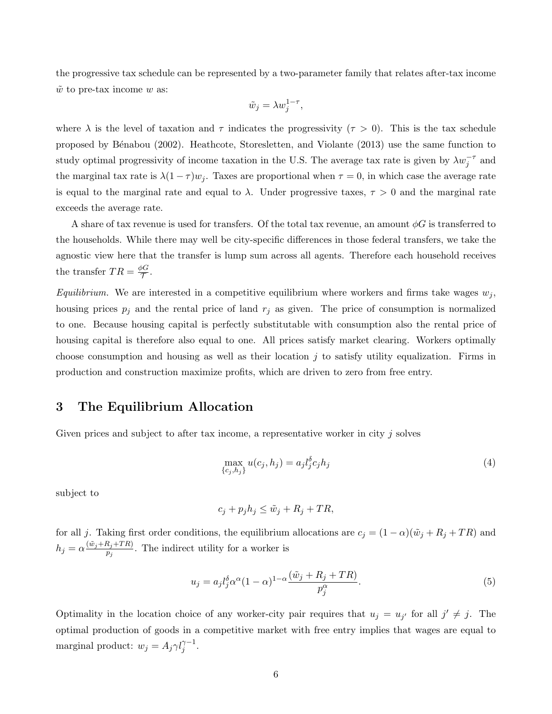the progressive tax schedule can be represented by a two-parameter family that relates after-tax income  $\tilde{w}$  to pre-tax income w as:

$$
\tilde{w}_j = \lambda w_j^{1-\tau},
$$

where  $\lambda$  is the level of taxation and  $\tau$  indicates the progressivity ( $\tau > 0$ ). This is the tax schedule proposed by B´enabou (2002). Heathcote, Storesletten, and Violante (2013) use the same function to study optimal progressivity of income taxation in the U.S. The average tax rate is given by  $\lambda w_j^{-\tau}$  and the marginal tax rate is  $\lambda(1-\tau)w_j$ . Taxes are proportional when  $\tau=0$ , in which case the average rate is equal to the marginal rate and equal to  $\lambda$ . Under progressive taxes,  $\tau > 0$  and the marginal rate exceeds the average rate.

A share of tax revenue is used for transfers. Of the total tax revenue, an amount  $\phi G$  is transferred to the households. While there may well be city-specific differences in those federal transfers, we take the agnostic view here that the transfer is lump sum across all agents. Therefore each household receives the transfer  $TR = \frac{\phi G}{\tau}$ oci<br>T

Equilibrium. We are interested in a competitive equilibrium where workers and firms take wages  $w_j$ , housing prices  $p_j$  and the rental price of land  $r_j$  as given. The price of consumption is normalized to one. Because housing capital is perfectly substitutable with consumption also the rental price of housing capital is therefore also equal to one. All prices satisfy market clearing. Workers optimally choose consumption and housing as well as their location  $j$  to satisfy utility equalization. Firms in production and construction maximize profits, which are driven to zero from free entry.

#### 3 The Equilibrium Allocation

Given prices and subject to after tax income, a representative worker in city j solves

$$
\max_{\{c_j, h_j\}} u(c_j, h_j) = a_j l_j^{\delta} c_j h_j \tag{4}
$$

subject to

$$
c_j + p_j h_j \le \tilde{w}_j + R_j + TR,
$$

for all j. Taking first order conditions, the equilibrium allocations are  $c_j = (1 - \alpha)(\tilde{w}_j + R_j + TR)$  and  $h_j = \alpha \frac{(\tilde{w}_j + R_j + TR)}{p_j}$  $\frac{n_j+1}{p_j}$ . The indirect utility for a worker is

$$
u_j = a_j l_j^{\delta} \alpha^{\alpha} (1 - \alpha)^{1 - \alpha} \frac{(\tilde{w}_j + R_j + TR)}{p_j^{\alpha}}.
$$
\n<sup>(5)</sup>

Optimality in the location choice of any worker-city pair requires that  $u_j = u_{j'}$  for all  $j' \neq j$ . The optimal production of goods in a competitive market with free entry implies that wages are equal to marginal product:  $w_j = A_j \gamma l_j^{\gamma - 1}$ .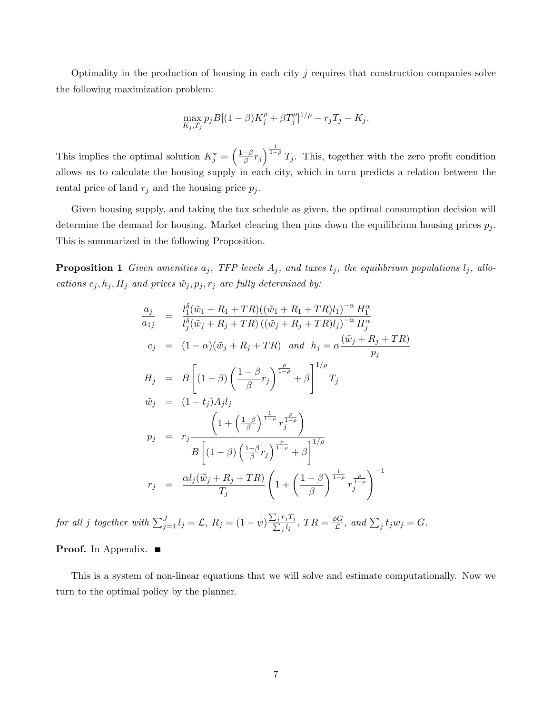Optimality in the production of housing in each city  $j$  requires that construction companies solve the following maximization problem:

$$
\max_{K_j, T_j} p_j B[(1-\beta)K_j^{\rho} + \beta T_j^{\rho}]^{1/\rho} - r_j T_j - K_j.
$$

This implies the optimal solution  $K_j^* = \left(\frac{1-\beta}{\beta}\right)$  $\frac{-\beta}{\beta}r_j\bigg)^{\frac{1}{1-\rho}}T_j$ . This, together with the zero profit condition allows us to calculate the housing supply in each city, which in turn predicts a relation between the rental price of land  $r_j$  and the housing price  $p_j$ .

Given housing supply, and taking the tax schedule as given, the optimal consumption decision will determine the demand for housing. Market clearing then pins down the equilibrium housing prices  $p_i$ . This is summarized in the following Proposition.

**Proposition 1** Given amenities  $a_j$ , TFP levels  $A_j$ , and taxes  $t_j$ , the equilibrium populations  $l_j$ , allocations  $c_j, h_j, H_j$  and prices  $\tilde{w}_j, p_j, r_j$  are fully determined by:

$$
\frac{a_j}{a_{1j}} = \frac{l_1^{\delta}(\tilde{w}_1 + R_1 + TR)((\tilde{w}_1 + R_1 + TR)l_1)^{-\alpha} H_1^{\alpha}}{l_j^{\delta}(\tilde{w}_j + R_j + TR)((\tilde{w}_j + R_j + TR)l_j)^{-\alpha} H_j^{\alpha}}
$$
\n
$$
c_j = (1 - \alpha)(\tilde{w}_j + R_j + TR) \quad \text{and} \quad h_j = \alpha \frac{(\tilde{w}_j + R_j + TR)}{p_j}
$$
\n
$$
H_j = B \left[ (1 - \beta) \left( \frac{1 - \beta}{\beta} r_j \right)^{\frac{\rho}{1 - \rho}} + \beta \right]^{1/\rho}
$$
\n
$$
\tilde{w}_j = (1 - t_j) A_j l_j
$$
\n
$$
p_j = r_j \frac{\left( 1 + \left( \frac{1 - \beta}{\beta} \right)^{\frac{1}{1 - \rho}} r_j^{\frac{\rho}{1 - \rho}} \right)}{B \left[ (1 - \beta) \left( \frac{1 - \beta}{\beta} r_j \right)^{\frac{\rho}{1 - \rho}} + \beta \right]^{1/\rho}}
$$
\n
$$
r_j = \frac{\alpha l_j(\tilde{w}_j + R_j + TR)}{T_j} \left( 1 + \left( \frac{1 - \beta}{\beta} \right)^{\frac{1}{1 - \rho}} r_j^{\frac{\rho}{1 - \rho}} \right)^{-1}
$$

for all j together with  $\sum_{j=1}^{J} l_j = \mathcal{L}$ ,  $R_j = (1 - \psi) \frac{\sum_j j}{\sum_j j}$  $r_jT_j$  $\frac{r_jT_j}{\frac{j}{g}l_j},\, TR=\frac{\phi G}{\mathcal{L}}$  $\frac{\partial G}{\partial \mathcal{L}}$ , and  $\sum_j t_j w_j = G$ .

**Proof.** In Appendix.

This is a system of non-linear equations that we will solve and estimate computationally. Now we turn to the optimal policy by the planner.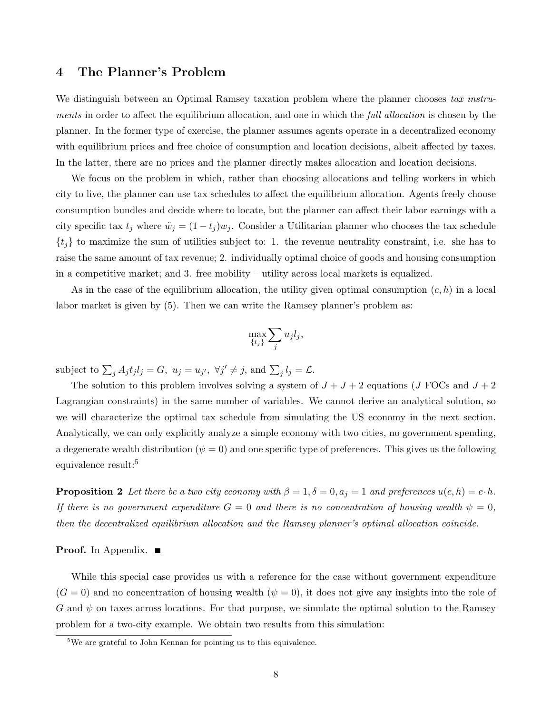#### 4 The Planner's Problem

We distinguish between an Optimal Ramsey taxation problem where the planner chooses tax instruments in order to affect the equilibrium allocation, and one in which the full allocation is chosen by the planner. In the former type of exercise, the planner assumes agents operate in a decentralized economy with equilibrium prices and free choice of consumption and location decisions, albeit affected by taxes. In the latter, there are no prices and the planner directly makes allocation and location decisions.

We focus on the problem in which, rather than choosing allocations and telling workers in which city to live, the planner can use tax schedules to affect the equilibrium allocation. Agents freely choose consumption bundles and decide where to locate, but the planner can affect their labor earnings with a city specific tax  $t_j$  where  $\tilde{w}_j = (1 - t_j)w_j$ . Consider a Utilitarian planner who chooses the tax schedule  $\{t_j\}$  to maximize the sum of utilities subject to: 1. the revenue neutrality constraint, i.e. she has to raise the same amount of tax revenue; 2. individually optimal choice of goods and housing consumption in a competitive market; and 3. free mobility – utility across local markets is equalized.

As in the case of the equilibrium allocation, the utility given optimal consumption  $(c, h)$  in a local labor market is given by (5). Then we can write the Ramsey planner's problem as:

$$
\max_{\{t_j\}} \sum_j u_j l_j,
$$

subject to  $\sum_j A_j t_j l_j = G$ ,  $u_j = u_{j'}$ ,  $\forall j' \neq j$ , and  $\sum_j l_j = \mathcal{L}$ .

The solution to this problem involves solving a system of  $J + J + 2$  equations (J FOCs and  $J + 2$ Lagrangian constraints) in the same number of variables. We cannot derive an analytical solution, so we will characterize the optimal tax schedule from simulating the US economy in the next section. Analytically, we can only explicitly analyze a simple economy with two cities, no government spending, a degenerate wealth distribution ( $\psi = 0$ ) and one specific type of preferences. This gives us the following equivalence result:<sup>5</sup>

**Proposition 2** Let there be a two city economy with  $\beta = 1, \delta = 0, a_j = 1$  and preferences  $u(c, h) = c \cdot h$ . If there is no government expenditure  $G = 0$  and there is no concentration of housing wealth  $\psi = 0$ , then the decentralized equilibrium allocation and the Ramsey planner's optimal allocation coincide.

#### Proof. In Appendix.

While this special case provides us with a reference for the case without government expenditure  $(G = 0)$  and no concentration of housing wealth  $(\psi = 0)$ , it does not give any insights into the role of G and  $\psi$  on taxes across locations. For that purpose, we simulate the optimal solution to the Ramsey problem for a two-city example. We obtain two results from this simulation:

 $5$ We are grateful to John Kennan for pointing us to this equivalence.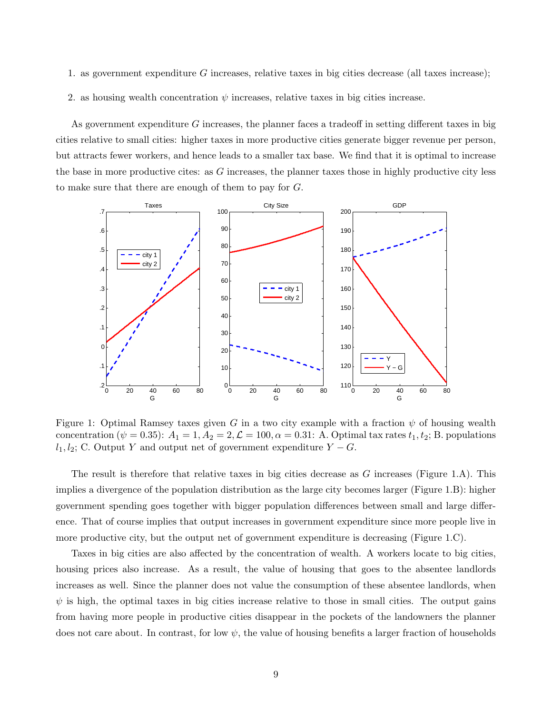- 1. as government expenditure G increases, relative taxes in big cities decrease (all taxes increase);
- 2. as housing wealth concentration  $\psi$  increases, relative taxes in big cities increase.

As government expenditure G increases, the planner faces a tradeoff in setting different taxes in big cities relative to small cities: higher taxes in more productive cities generate bigger revenue per person, but attracts fewer workers, and hence leads to a smaller tax base. We find that it is optimal to increase the base in more productive cites: as  $G$  increases, the planner taxes those in highly productive city less to make sure that there are enough of them to pay for G.



Figure 1: Optimal Ramsey taxes given G in a two city example with a fraction  $\psi$  of housing wealth concentration ( $\psi = 0.35$ ):  $A_1 = 1, A_2 = 2, \mathcal{L} = 100, \alpha = 0.31$ : A. Optimal tax rates  $t_1, t_2$ ; B. populations  $l_1, l_2$ ; C. Output Y and output net of government expenditure  $Y - G$ .

The result is therefore that relative taxes in big cities decrease as  $G$  increases (Figure 1.A). This implies a divergence of the population distribution as the large city becomes larger (Figure 1.B): higher government spending goes together with bigger population differences between small and large difference. That of course implies that output increases in government expenditure since more people live in more productive city, but the output net of government expenditure is decreasing (Figure 1.C).

Taxes in big cities are also affected by the concentration of wealth. A workers locate to big cities, housing prices also increase. As a result, the value of housing that goes to the absentee landlords increases as well. Since the planner does not value the consumption of these absentee landlords, when  $\psi$  is high, the optimal taxes in big cities increase relative to those in small cities. The output gains from having more people in productive cities disappear in the pockets of the landowners the planner does not care about. In contrast, for low  $\psi$ , the value of housing benefits a larger fraction of households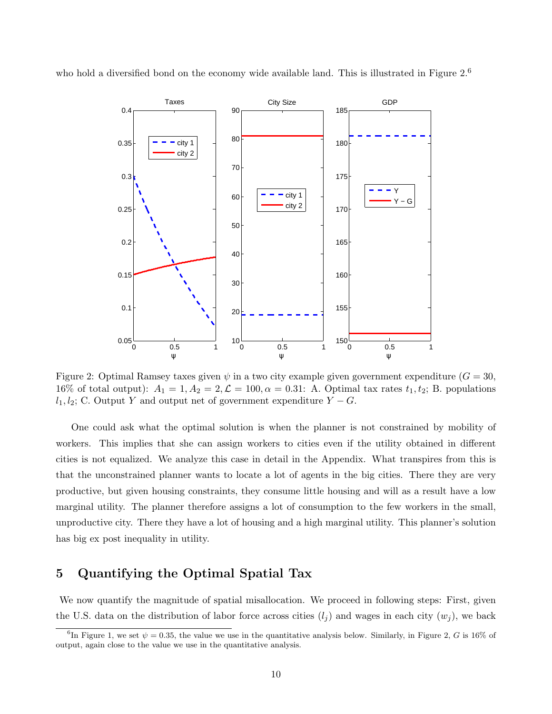who hold a diversified bond on the economy wide available land. This is illustrated in Figure 2.<sup>6</sup>



Figure 2: Optimal Ramsey taxes given  $\psi$  in a two city example given government expenditure  $(G = 30,$ 16% of total output):  $A_1 = 1, A_2 = 2, \mathcal{L} = 100, \alpha = 0.31$ : A. Optimal tax rates  $t_1, t_2$ ; B. populations  $l_1, l_2$ ; C. Output Y and output net of government expenditure  $Y - G$ .

One could ask what the optimal solution is when the planner is not constrained by mobility of workers. This implies that she can assign workers to cities even if the utility obtained in different cities is not equalized. We analyze this case in detail in the Appendix. What transpires from this is that the unconstrained planner wants to locate a lot of agents in the big cities. There they are very productive, but given housing constraints, they consume little housing and will as a result have a low marginal utility. The planner therefore assigns a lot of consumption to the few workers in the small, unproductive city. There they have a lot of housing and a high marginal utility. This planner's solution has big ex post inequality in utility.

### 5 Quantifying the Optimal Spatial Tax

We now quantify the magnitude of spatial misallocation. We proceed in following steps: First, given the U.S. data on the distribution of labor force across cities  $(l_i)$  and wages in each city  $(w_i)$ , we back

<sup>&</sup>lt;sup>6</sup>In Figure 1, we set  $\psi = 0.35$ , the value we use in the quantitative analysis below. Similarly, in Figure 2, G is 16% of output, again close to the value we use in the quantitative analysis.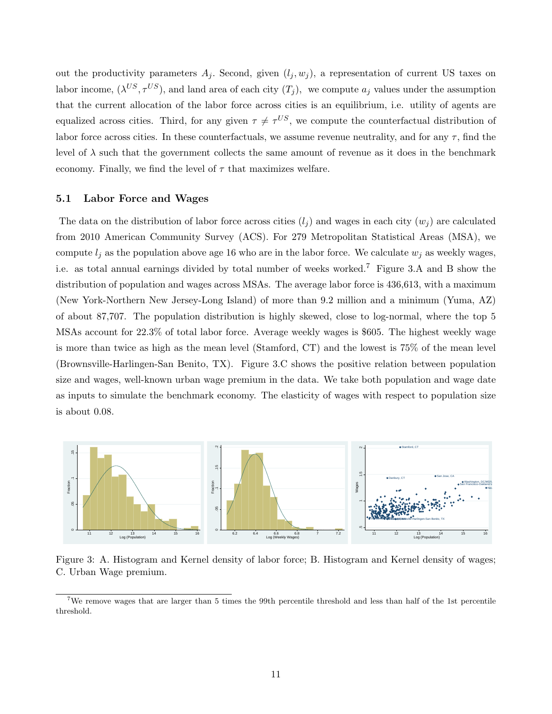out the productivity parameters  $A_j$ . Second, given  $(l_j, w_j)$ , a representation of current US taxes on labor income,  $(\lambda^{US}, \tau^{US})$ , and land area of each city  $(T_j)$ , we compute  $a_j$  values under the assumption that the current allocation of the labor force across cities is an equilibrium, i.e. utility of agents are equalized across cities. Third, for any given  $\tau \neq \tau^{US}$ , we compute the counterfactual distribution of labor force across cities. In these counterfactuals, we assume revenue neutrality, and for any  $\tau$ , find the level of  $\lambda$  such that the government collects the same amount of revenue as it does in the benchmark economy. Finally, we find the level of  $\tau$  that maximizes welfare.

#### 5.1 Labor Force and Wages

The data on the distribution of labor force across cities  $(l_i)$  and wages in each city  $(w_i)$  are calculated from 2010 American Community Survey (ACS). For 279 Metropolitan Statistical Areas (MSA), we compute  $l_j$  as the population above age 16 who are in the labor force. We calculate  $w_j$  as weekly wages, i.e. as total annual earnings divided by total number of weeks worked.<sup>7</sup> Figure 3.A and B show the distribution of population and wages across MSAs. The average labor force is 436,613, with a maximum (New York-Northern New Jersey-Long Island) of more than 9.2 million and a minimum (Yuma, AZ) of about 87,707. The population distribution is highly skewed, close to log-normal, where the top 5 MSAs account for 22.3% of total labor force. Average weekly wages is \$605. The highest weekly wage is more than twice as high as the mean level (Stamford, CT) and the lowest is 75% of the mean level (Brownsville-Harlingen-San Benito, TX). Figure 3.C shows the positive relation between population size and wages, well-known urban wage premium in the data. We take both population and wage date as inputs to simulate the benchmark economy. The elasticity of wages with respect to population size is about 0.08.



Figure 3: A. Histogram and Kernel density of labor force; B. Histogram and Kernel density of wages; C. Urban Wage premium.

<sup>7</sup>We remove wages that are larger than 5 times the 99th percentile threshold and less than half of the 1st percentile threshold.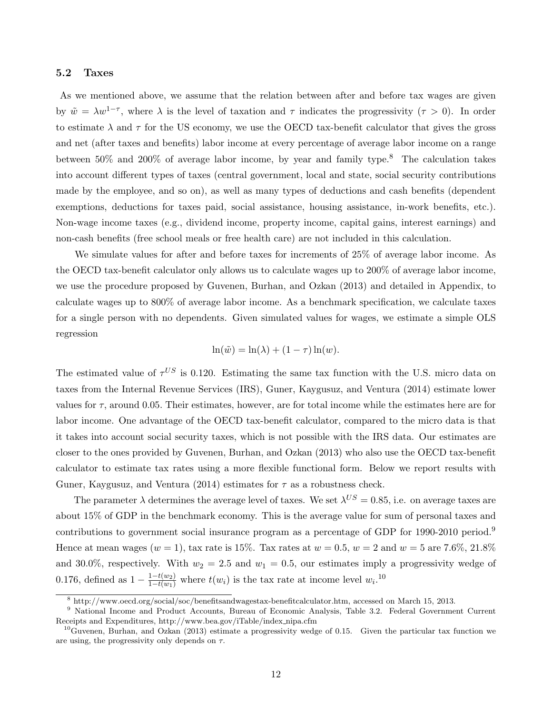#### 5.2 Taxes

As we mentioned above, we assume that the relation between after and before tax wages are given by  $\tilde{w} = \lambda w^{1-\tau}$ , where  $\lambda$  is the level of taxation and  $\tau$  indicates the progressivity  $(\tau > 0)$ . In order to estimate  $\lambda$  and  $\tau$  for the US economy, we use the OECD tax-benefit calculator that gives the gross and net (after taxes and benefits) labor income at every percentage of average labor income on a range between  $50\%$  and  $200\%$  of average labor income, by year and family type.<sup>8</sup> The calculation takes into account different types of taxes (central government, local and state, social security contributions made by the employee, and so on), as well as many types of deductions and cash benefits (dependent exemptions, deductions for taxes paid, social assistance, housing assistance, in-work benefits, etc.). Non-wage income taxes (e.g., dividend income, property income, capital gains, interest earnings) and non-cash benefits (free school meals or free health care) are not included in this calculation.

We simulate values for after and before taxes for increments of 25% of average labor income. As the OECD tax-benefit calculator only allows us to calculate wages up to 200% of average labor income, we use the procedure proposed by Guvenen, Burhan, and Ozkan (2013) and detailed in Appendix, to calculate wages up to 800% of average labor income. As a benchmark specification, we calculate taxes for a single person with no dependents. Given simulated values for wages, we estimate a simple OLS regression

$$
\ln(\tilde{w}) = \ln(\lambda) + (1 - \tau) \ln(w).
$$

The estimated value of  $\tau^{US}$  is 0.120. Estimating the same tax function with the U.S. micro data on taxes from the Internal Revenue Services (IRS), Guner, Kaygusuz, and Ventura (2014) estimate lower values for  $\tau$ , around 0.05. Their estimates, however, are for total income while the estimates here are for labor income. One advantage of the OECD tax-benefit calculator, compared to the micro data is that it takes into account social security taxes, which is not possible with the IRS data. Our estimates are closer to the ones provided by Guvenen, Burhan, and Ozkan (2013) who also use the OECD tax-benefit calculator to estimate tax rates using a more flexible functional form. Below we report results with Guner, Kaygusuz, and Ventura (2014) estimates for  $\tau$  as a robustness check.

The parameter  $\lambda$  determines the average level of taxes. We set  $\lambda^{US} = 0.85$ , i.e. on average taxes are about 15% of GDP in the benchmark economy. This is the average value for sum of personal taxes and contributions to government social insurance program as a percentage of GDP for 1990-2010 period.<sup>9</sup> Hence at mean wages  $(w = 1)$ , tax rate is 15%. Tax rates at  $w = 0.5$ ,  $w = 2$  and  $w = 5$  are 7.6%, 21.8% and 30.0%, respectively. With  $w_2 = 2.5$  and  $w_1 = 0.5$ , our estimates imply a progressivity wedge of 0.176, defined as  $1 - \frac{1 - t(w_2)}{1 - t(w_1)}$  where  $t(w_i)$  is the tax rate at income level  $w_i$ .<sup>10</sup>

<sup>8</sup> http://www.oecd.org/social/soc/benefitsandwagestax-benefitcalculator.htm, accessed on March 15, 2013.

<sup>9</sup> National Income and Product Accounts, Bureau of Economic Analysis, Table 3.2. Federal Government Current Receipts and Expenditures, http://www.bea.gov/iTable/index nipa.cfm

<sup>&</sup>lt;sup>10</sup>Guvenen, Burhan, and Ozkan (2013) estimate a progressivity wedge of 0.15. Given the particular tax function we are using, the progressivity only depends on  $\tau$ .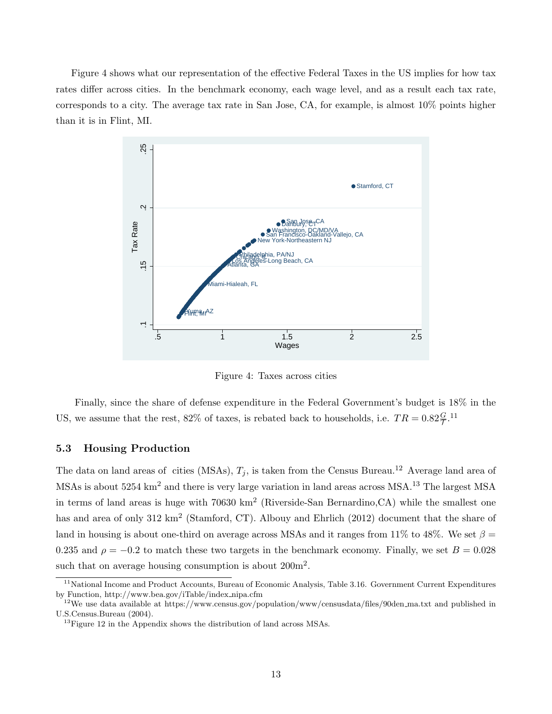Figure 4 shows what our representation of the effective Federal Taxes in the US implies for how tax rates differ across cities. In the benchmark economy, each wage level, and as a result each tax rate, corresponds to a city. The average tax rate in San Jose, CA, for example, is almost 10% points higher than it is in Flint, MI.



Figure 4: Taxes across cities

Finally, since the share of defense expenditure in the Federal Government's budget is 18% in the US, we assume that the rest, 82% of taxes, is rebated back to households, i.e.  $TR = 0.82 \frac{G}{T}$ .<sup>11</sup>

#### 5.3 Housing Production

The data on land areas of cities (MSAs),  $T_i$ , is taken from the Census Bureau.<sup>12</sup> Average land area of MSAs is about 5254 km<sup>2</sup> and there is very large variation in land areas across MSA.<sup>13</sup> The largest MSA in terms of land areas is huge with 70630 km<sup>2</sup> (Riverside-San Bernardino, CA) while the smallest one has and area of only 312 km<sup>2</sup> (Stamford, CT). Albouy and Ehrlich (2012) document that the share of land in housing is about one-third on average across MSAs and it ranges from 11% to 48%. We set  $\beta =$ 0.235 and  $\rho = -0.2$  to match these two targets in the benchmark economy. Finally, we set  $B = 0.028$ such that on average housing consumption is about  $200m^2$ .

<sup>&</sup>lt;sup>11</sup>National Income and Product Accounts, Bureau of Economic Analysis, Table 3.16. Government Current Expenditures by Function, http://www.bea.gov/iTable/index nipa.cfm

<sup>&</sup>lt;sup>12</sup>We use data available at https://www.census.gov/population/www/censusdata/files/90den\_ma.txt and published in U.S.Census.Bureau (2004).

 $13$  Figure 12 in the Appendix shows the distribution of land across MSAs.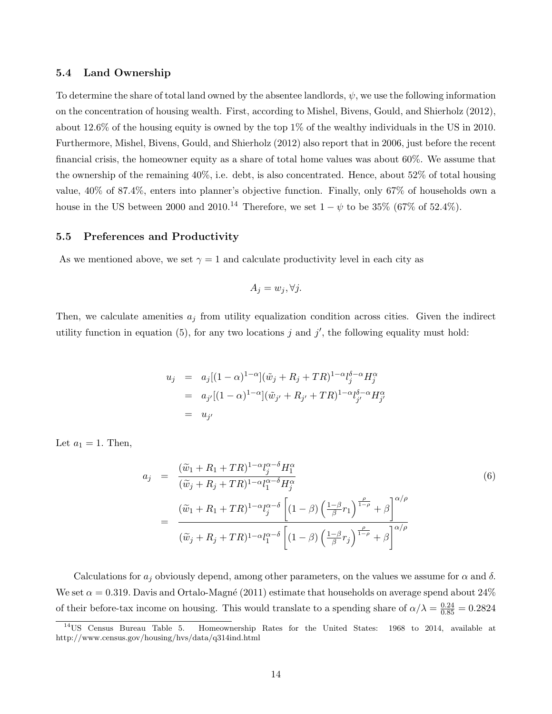#### 5.4 Land Ownership

To determine the share of total land owned by the absentee landlords,  $\psi$ , we use the following information on the concentration of housing wealth. First, according to Mishel, Bivens, Gould, and Shierholz (2012), about 12.6% of the housing equity is owned by the top 1% of the wealthy individuals in the US in 2010. Furthermore, Mishel, Bivens, Gould, and Shierholz (2012) also report that in 2006, just before the recent financial crisis, the homeowner equity as a share of total home values was about 60%. We assume that the ownership of the remaining 40%, i.e. debt, is also concentrated. Hence, about 52% of total housing value, 40% of 87.4%, enters into planner's objective function. Finally, only 67% of households own a house in the US between 2000 and 2010.<sup>14</sup> Therefore, we set  $1 - \psi$  to be 35% (67% of 52.4%).

#### 5.5 Preferences and Productivity

As we mentioned above, we set  $\gamma = 1$  and calculate productivity level in each city as

$$
A_j = w_j, \forall j.
$$

Then, we calculate amenities  $a_j$  from utility equalization condition across cities. Given the indirect utility function in equation (5), for any two locations j and j', the following equality must hold:

$$
u_j = a_j[(1-\alpha)^{1-\alpha}](\tilde{w}_j + R_j + TR)^{1-\alpha}l_j^{\delta-\alpha}H_j^{\alpha}
$$
  
=  $a_{j'}[(1-\alpha)^{1-\alpha}](\tilde{w}_{j'} + R_{j'} + TR)^{1-\alpha}l_{j'}^{\delta-\alpha}H_{j'}^{\alpha}$   
=  $u_{j'}$ 

Let  $a_1 = 1$ . Then,

$$
a_j = \frac{(\tilde{w}_1 + R_1 + TR)^{1-\alpha} l_j^{\alpha-\delta} H_1^{\alpha}}{(\tilde{w}_j + R_j + TR)^{1-\alpha} l_1^{\alpha-\delta} H_j^{\alpha}}
$$
  

$$
= \frac{(\tilde{w}_1 + R_1 + TR)^{1-\alpha} l_j^{\alpha-\delta} \left[ (1-\beta) \left( \frac{1-\beta}{\beta} r_1 \right)^{\frac{\rho}{1-\rho}} + \beta \right]^{\alpha/\rho}}{(\tilde{w}_j + R_j + TR)^{1-\alpha} l_1^{\alpha-\delta} \left[ (1-\beta) \left( \frac{1-\beta}{\beta} r_j \right)^{\frac{\rho}{1-\rho}} + \beta \right]^{\alpha/\rho}}
$$
  
(6)

Calculations for  $a_j$  obviously depend, among other parameters, on the values we assume for  $\alpha$  and  $\delta$ . We set  $\alpha = 0.319$ . Davis and Ortalo-Magné (2011) estimate that households on average spend about 24% of their before-tax income on housing. This would translate to a spending share of  $\alpha/\lambda = \frac{0.24}{0.85} = 0.2824$ 

<sup>&</sup>lt;sup>14</sup>US Census Bureau Table 5. Homeownership Rates for the United States: 1968 to 2014, available at http://www.census.gov/housing/hvs/data/q314ind.html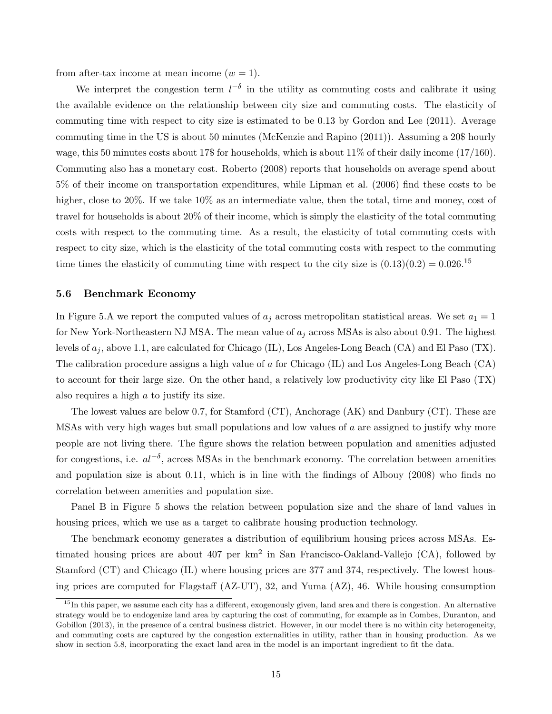from after-tax income at mean income  $(w = 1)$ .

We interpret the congestion term  $l^{-\delta}$  in the utility as commuting costs and calibrate it using the available evidence on the relationship between city size and commuting costs. The elasticity of commuting time with respect to city size is estimated to be 0.13 by Gordon and Lee (2011). Average commuting time in the US is about 50 minutes (McKenzie and Rapino (2011)). Assuming a 20\$ hourly wage, this 50 minutes costs about 17\$ for households, which is about  $11\%$  of their daily income  $(17/160)$ . Commuting also has a monetary cost. Roberto (2008) reports that households on average spend about 5% of their income on transportation expenditures, while Lipman et al. (2006) find these costs to be higher, close to 20%. If we take  $10\%$  as an intermediate value, then the total, time and money, cost of travel for households is about 20% of their income, which is simply the elasticity of the total commuting costs with respect to the commuting time. As a result, the elasticity of total commuting costs with respect to city size, which is the elasticity of the total commuting costs with respect to the commuting time times the elasticity of commuting time with respect to the city size is  $(0.13)(0.2) = 0.026$ .<sup>15</sup>

#### 5.6 Benchmark Economy

In Figure 5.A we report the computed values of  $a_j$  across metropolitan statistical areas. We set  $a_1 = 1$ for New York-Northeastern NJ MSA. The mean value of  $a_i$  across MSAs is also about 0.91. The highest levels of  $a_j$ , above 1.1, are calculated for Chicago (IL), Los Angeles-Long Beach (CA) and El Paso (TX). The calibration procedure assigns a high value of a for Chicago (IL) and Los Angeles-Long Beach (CA) to account for their large size. On the other hand, a relatively low productivity city like El Paso (TX) also requires a high a to justify its size.

The lowest values are below 0.7, for Stamford (CT), Anchorage (AK) and Danbury (CT). These are MSAs with very high wages but small populations and low values of a are assigned to justify why more people are not living there. The figure shows the relation between population and amenities adjusted for congestions, i.e.  $al^{-\delta}$ , across MSAs in the benchmark economy. The correlation between amenities and population size is about 0.11, which is in line with the findings of Albouy (2008) who finds no correlation between amenities and population size.

Panel B in Figure 5 shows the relation between population size and the share of land values in housing prices, which we use as a target to calibrate housing production technology.

The benchmark economy generates a distribution of equilibrium housing prices across MSAs. Estimated housing prices are about  $407$  per  $km^2$  in San Francisco-Oakland-Vallejo (CA), followed by Stamford (CT) and Chicago (IL) where housing prices are 377 and 374, respectively. The lowest housing prices are computed for Flagstaff (AZ-UT), 32, and Yuma (AZ), 46. While housing consumption

 $15$ In this paper, we assume each city has a different, exogenously given, land area and there is congestion. An alternative strategy would be to endogenize land area by capturing the cost of commuting, for example as in Combes, Duranton, and Gobillon (2013), in the presence of a central business district. However, in our model there is no within city heterogeneity, and commuting costs are captured by the congestion externalities in utility, rather than in housing production. As we show in section 5.8, incorporating the exact land area in the model is an important ingredient to fit the data.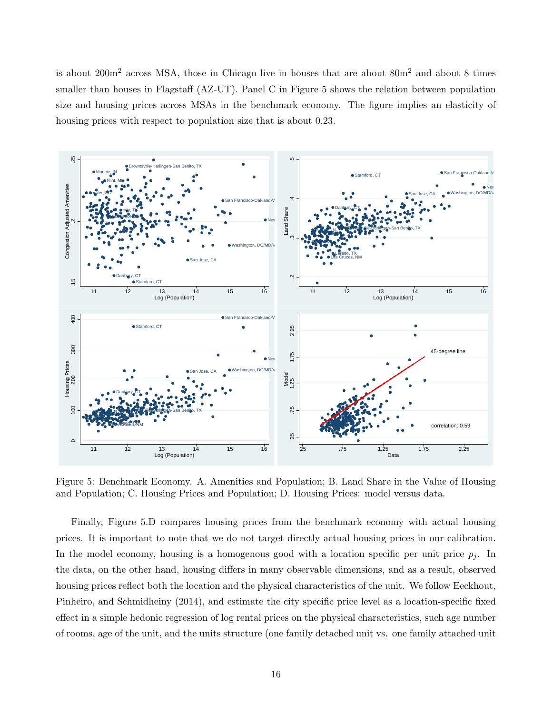is about  $200m^2$  across MSA, those in Chicago live in houses that are about  $80m^2$  and about 8 times smaller than houses in Flagstaff (AZ-UT). Panel C in Figure 5 shows the relation between population size and housing prices across MSAs in the benchmark economy. The figure implies an elasticity of housing prices with respect to population size that is about 0.23.



Figure 5: Benchmark Economy. A. Amenities and Population; B. Land Share in the Value of Housing and Population; C. Housing Prices and Population; D. Housing Prices: model versus data.

Finally, Figure 5.D compares housing prices from the benchmark economy with actual housing prices. It is important to note that we do not target directly actual housing prices in our calibration. In the model economy, housing is a homogenous good with a location specific per unit price  $p_j$ . In the data, on the other hand, housing differs in many observable dimensions, and as a result, observed housing prices reflect both the location and the physical characteristics of the unit. We follow Eeckhout, Pinheiro, and Schmidheiny (2014), and estimate the city specific price level as a location-specific fixed effect in a simple hedonic regression of log rental prices on the physical characteristics, such age number of rooms, age of the unit, and the units structure (one family detached unit vs. one family attached unit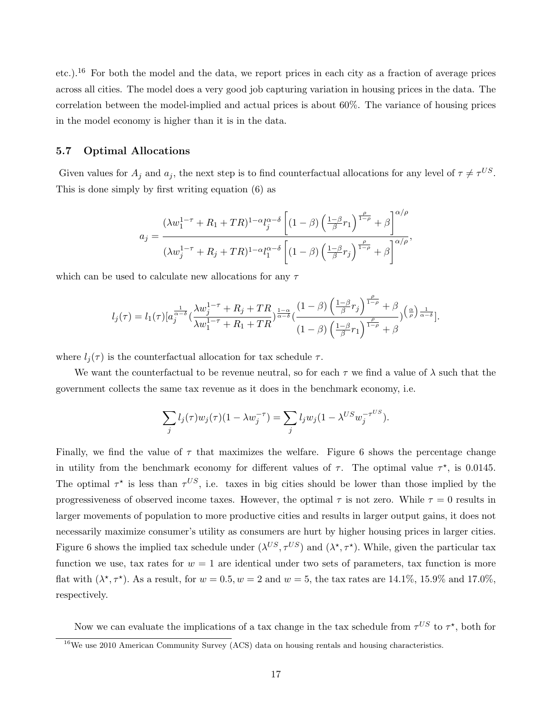etc.).<sup>16</sup> For both the model and the data, we report prices in each city as a fraction of average prices across all cities. The model does a very good job capturing variation in housing prices in the data. The correlation between the model-implied and actual prices is about 60%. The variance of housing prices in the model economy is higher than it is in the data.

#### 5.7 Optimal Allocations

Given values for  $A_j$  and  $a_j$ , the next step is to find counterfactual allocations for any level of  $\tau \neq \tau^{US}$ . This is done simply by first writing equation (6) as

$$
a_j = \frac{(\lambda w_1^{1-\tau} + R_1 + TR)^{1-\alpha} l_j^{\alpha-\delta} \left[ (1-\beta) \left( \frac{1-\beta}{\beta} r_1 \right)^{\frac{\rho}{1-\rho}} + \beta \right]^{\alpha/\rho}}{(\lambda w_j^{1-\tau} + R_j + TR)^{1-\alpha} l_1^{\alpha-\delta} \left[ (1-\beta) \left( \frac{1-\beta}{\beta} r_j \right)^{\frac{\rho}{1-\rho}} + \beta \right]^{\alpha/\rho}},
$$

which can be used to calculate new allocations for any  $\tau$ 

$$
l_j(\tau) = l_1(\tau) \left[ a_j^{\frac{1}{\alpha-\delta}} \left( \frac{\lambda w_j^{1-\tau} + R_j + TR}{\lambda w_1^{1-\tau} + R_1 + TR} \right)^{\frac{1-\alpha}{\alpha-\delta}} \left( \frac{(1-\beta) \left( \frac{1-\beta}{\beta} r_j \right)^{\frac{\rho}{1-\rho}} + \beta}{(1-\beta) \left( \frac{1-\beta}{\beta} r_1 \right)^{\frac{\rho}{1-\rho}} + \beta} \right)^{\frac{\alpha}{\alpha-\delta}} \right].
$$

where  $l_i(\tau)$  is the counterfactual allocation for tax schedule  $\tau$ .

We want the counterfactual to be revenue neutral, so for each  $\tau$  we find a value of  $\lambda$  such that the government collects the same tax revenue as it does in the benchmark economy, i.e.

$$
\sum_j l_j(\tau) w_j(\tau) (1 - \lambda w_j^{-\tau}) = \sum_j l_j w_j (1 - \lambda^{US} w_j^{-\tau^{US}}).
$$

Finally, we find the value of  $\tau$  that maximizes the welfare. Figure 6 shows the percentage change in utility from the benchmark economy for different values of  $\tau$ . The optimal value  $\tau^*$ , is 0.0145. The optimal  $\tau^*$  is less than  $\tau^{US}$ , i.e. taxes in big cities should be lower than those implied by the progressiveness of observed income taxes. However, the optimal  $\tau$  is not zero. While  $\tau = 0$  results in larger movements of population to more productive cities and results in larger output gains, it does not necessarily maximize consumer's utility as consumers are hurt by higher housing prices in larger cities. Figure 6 shows the implied tax schedule under  $(\lambda^{US}, \tau^{US})$  and  $(\lambda^*, \tau^*)$ . While, given the particular tax function we use, tax rates for  $w = 1$  are identical under two sets of parameters, tax function is more flat with  $(\lambda^*, \tau^*)$ . As a result, for  $w = 0.5, w = 2$  and  $w = 5$ , the tax rates are 14.1%, 15.9% and 17.0%, respectively.

Now we can evaluate the implications of a tax change in the tax schedule from  $\tau^{US}$  to  $\tau^*$ , both for

<sup>&</sup>lt;sup>16</sup>We use 2010 American Community Survey  $(ACS)$  data on housing rentals and housing characteristics.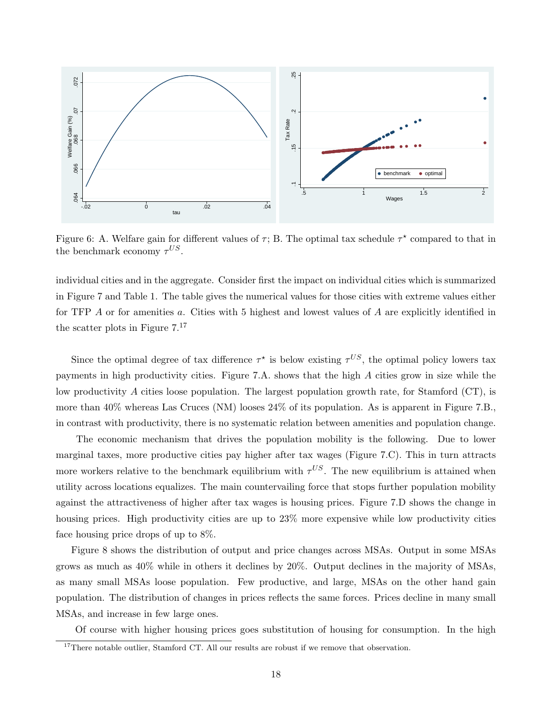

Figure 6: A. Welfare gain for different values of  $\tau$ ; B. The optimal tax schedule  $\tau^*$  compared to that in the benchmark economy  $\tau^{US}$ .

individual cities and in the aggregate. Consider first the impact on individual cities which is summarized in Figure 7 and Table 1. The table gives the numerical values for those cities with extreme values either for TFP  $\Lambda$  or for amenities  $a$ . Cities with 5 highest and lowest values of  $\Lambda$  are explicitly identified in the scatter plots in Figure 7.<sup>17</sup>

Since the optimal degree of tax difference  $\tau^*$  is below existing  $\tau^{US}$ , the optimal policy lowers tax payments in high productivity cities. Figure 7.A. shows that the high A cities grow in size while the low productivity A cities loose population. The largest population growth rate, for Stamford (CT), is more than 40% whereas Las Cruces (NM) looses 24% of its population. As is apparent in Figure 7.B., in contrast with productivity, there is no systematic relation between amenities and population change.

The economic mechanism that drives the population mobility is the following. Due to lower marginal taxes, more productive cities pay higher after tax wages (Figure 7.C). This in turn attracts more workers relative to the benchmark equilibrium with  $\tau^{US}$ . The new equilibrium is attained when utility across locations equalizes. The main countervailing force that stops further population mobility against the attractiveness of higher after tax wages is housing prices. Figure 7.D shows the change in housing prices. High productivity cities are up to  $23\%$  more expensive while low productivity cities face housing price drops of up to 8%.

Figure 8 shows the distribution of output and price changes across MSAs. Output in some MSAs grows as much as 40% while in others it declines by 20%. Output declines in the majority of MSAs, as many small MSAs loose population. Few productive, and large, MSAs on the other hand gain population. The distribution of changes in prices reflects the same forces. Prices decline in many small MSAs, and increase in few large ones.

Of course with higher housing prices goes substitution of housing for consumption. In the high

 $17$ There notable outlier, Stamford CT. All our results are robust if we remove that observation.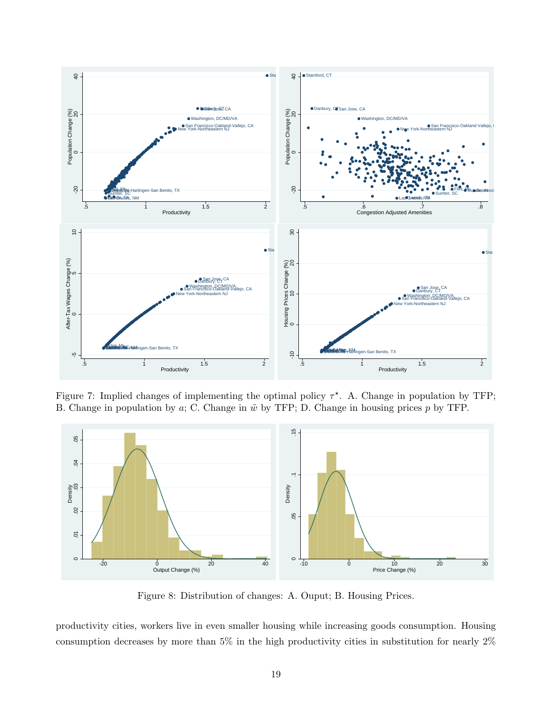

Figure 7: Implied changes of implementing the optimal policy  $\tau^*$ . A. Change in population by TFP; B. Change in population by a; C. Change in  $\tilde{w}$  by TFP; D. Change in housing prices p by TFP.



Figure 8: Distribution of changes: A. Ouput; B. Housing Prices.

productivity cities, workers live in even smaller housing while increasing goods consumption. Housing consumption decreases by more than 5% in the high productivity cities in substitution for nearly 2%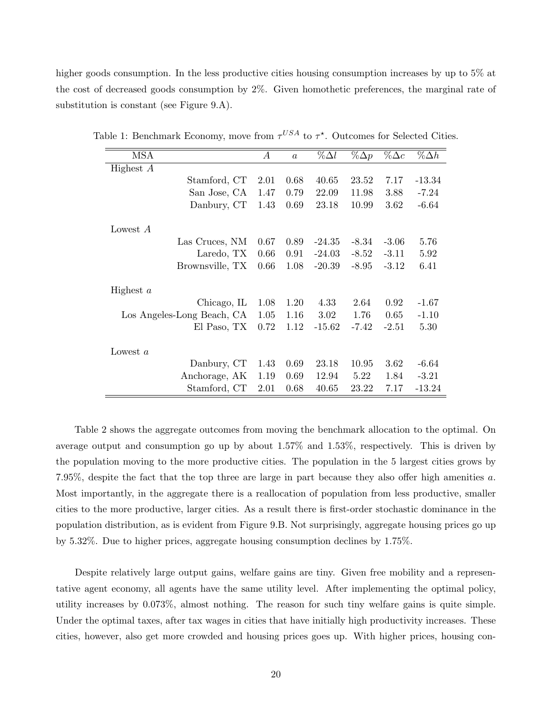higher goods consumption. In the less productive cities housing consumption increases by up to 5% at the cost of decreased goods consumption by 2%. Given homothetic preferences, the marginal rate of substitution is constant (see Figure 9.A).

| A    | $\boldsymbol{a}$ | $\% \Delta l$ | $\%\Delta p$ | $\%\Delta c$ | $\% \Delta h$ |
|------|------------------|---------------|--------------|--------------|---------------|
|      |                  |               |              |              |               |
| 2.01 | 0.68             | 40.65         | 23.52        | 7.17         | $-13.34$      |
| 1.47 | 0.79             | 22.09         | 11.98        | 3.88         | $-7.24$       |
| 1.43 | 0.69             | 23.18         | 10.99        | 3.62         | $-6.64$       |
|      |                  |               |              |              |               |
|      |                  |               |              |              |               |
| 0.67 | 0.89             | $-24.35$      | $-8.34$      | $-3.06$      | 5.76          |
| 0.66 | 0.91             | $-24.03$      | $-8.52$      | $-3.11$      | 5.92          |
| 0.66 | 1.08             | $-20.39$      | $-8.95$      | $-3.12$      | 6.41          |
|      |                  |               |              |              |               |
|      |                  |               |              |              |               |
| 1.08 | 1.20             | 4.33          | 2.64         | 0.92         | $-1.67$       |
| 1.05 | 1.16             | 3.02          | 1.76         | 0.65         | $-1.10$       |
| 0.72 | 1.12             | $-15.62$      | $-7.42$      | $-2.51$      | 5.30          |
|      |                  |               |              |              |               |
|      |                  |               |              |              |               |
| 1.43 | 0.69             | 23.18         | 10.95        | 3.62         | $-6.64$       |
| 1.19 | 0.69             | 12.94         | 5.22         | 1.84         | $-3.21$       |
| 2.01 | 0.68             | 40.65         | 23.22        | 7.17         | $-13.24$      |
|      |                  |               |              |              |               |

Table 1: Benchmark Economy, move from  $\tau^{USA}$  to  $\tau^*$ . Outcomes for Selected Cities.

Table 2 shows the aggregate outcomes from moving the benchmark allocation to the optimal. On average output and consumption go up by about 1.57% and 1.53%, respectively. This is driven by the population moving to the more productive cities. The population in the 5 largest cities grows by 7.95%, despite the fact that the top three are large in part because they also offer high amenities a. Most importantly, in the aggregate there is a reallocation of population from less productive, smaller cities to the more productive, larger cities. As a result there is first-order stochastic dominance in the population distribution, as is evident from Figure 9.B. Not surprisingly, aggregate housing prices go up by 5.32%. Due to higher prices, aggregate housing consumption declines by 1.75%.

Despite relatively large output gains, welfare gains are tiny. Given free mobility and a representative agent economy, all agents have the same utility level. After implementing the optimal policy, utility increases by 0.073%, almost nothing. The reason for such tiny welfare gains is quite simple. Under the optimal taxes, after tax wages in cities that have initially high productivity increases. These cities, however, also get more crowded and housing prices goes up. With higher prices, housing con-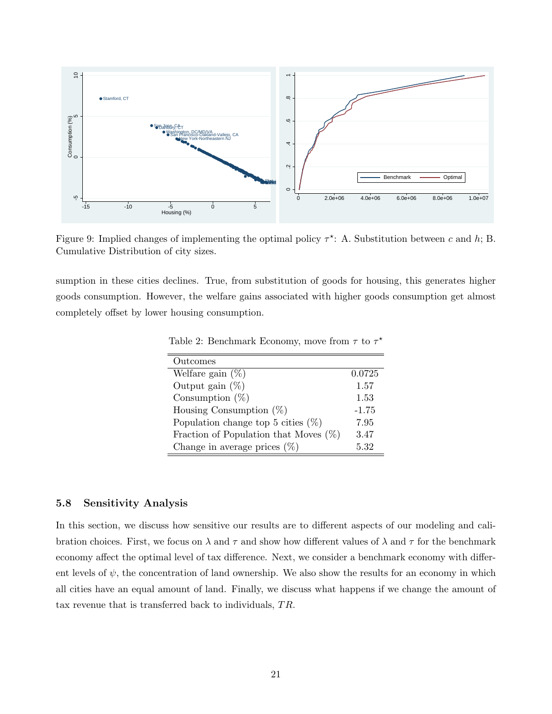

Figure 9: Implied changes of implementing the optimal policy  $\tau^*$ : A. Substitution between c and h; B. Cumulative Distribution of city sizes.

sumption in these cities declines. True, from substitution of goods for housing, this generates higher goods consumption. However, the welfare gains associated with higher goods consumption get almost completely offset by lower housing consumption.

| Outcomes                                 |         |
|------------------------------------------|---------|
| Welfare gain $(\%)$                      | 0.0725  |
| Output gain $(\%)$                       | 1.57    |
| Consumption $(\%)$                       | 1.53    |
| Housing Consumption $(\%)$               | $-1.75$ |
| Population change top 5 cities $(\%)$    | 7.95    |
| Fraction of Population that Moves $(\%)$ | 3.47    |
| Change in average prices $(\%)$          | 5.32    |

Table 2: Benchmark Economy, move from  $\tau$  to  $\tau^*$ 

#### 5.8 Sensitivity Analysis

In this section, we discuss how sensitive our results are to different aspects of our modeling and calibration choices. First, we focus on  $\lambda$  and  $\tau$  and show how different values of  $\lambda$  and  $\tau$  for the benchmark economy affect the optimal level of tax difference. Next, we consider a benchmark economy with different levels of  $\psi$ , the concentration of land ownership. We also show the results for an economy in which all cities have an equal amount of land. Finally, we discuss what happens if we change the amount of tax revenue that is transferred back to individuals,  $TR$ .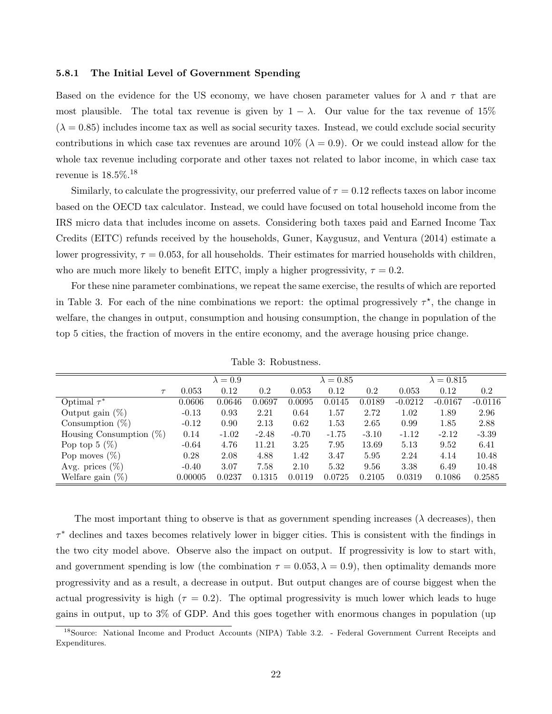#### 5.8.1 The Initial Level of Government Spending

Based on the evidence for the US economy, we have chosen parameter values for  $\lambda$  and  $\tau$  that are most plausible. The total tax revenue is given by  $1 - \lambda$ . Our value for the tax revenue of 15%  $(\lambda = 0.85)$  includes income tax as well as social security taxes. Instead, we could exclude social security contributions in which case tax revenues are around 10% ( $\lambda = 0.9$ ). Or we could instead allow for the whole tax revenue including corporate and other taxes not related to labor income, in which case tax revenue is 18.5%.<sup>18</sup>

Similarly, to calculate the progressivity, our preferred value of  $\tau = 0.12$  reflects taxes on labor income based on the OECD tax calculator. Instead, we could have focused on total household income from the IRS micro data that includes income on assets. Considering both taxes paid and Earned Income Tax Credits (EITC) refunds received by the households, Guner, Kaygusuz, and Ventura (2014) estimate a lower progressivity,  $\tau = 0.053$ , for all households. Their estimates for married households with children, who are much more likely to benefit EITC, imply a higher progressivity,  $\tau = 0.2$ .

For these nine parameter combinations, we repeat the same exercise, the results of which are reported in Table 3. For each of the nine combinations we report: the optimal progressively  $\tau^*$ , the change in welfare, the changes in output, consumption and housing consumption, the change in population of the top 5 cities, the fraction of movers in the entire economy, and the average housing price change.

|                            |         | $\lambda = 0.9$ |         |         | $\lambda = 0.85$ |         |           | $\lambda = 0.815$ |           |
|----------------------------|---------|-----------------|---------|---------|------------------|---------|-----------|-------------------|-----------|
| $\tau$                     | 0.053   | 0.12            | 0.2     | 0.053   | 0.12             | 0.2     | 0.053     | 0.12              | $0.2\,$   |
| Optimal $\tau^*$           | 0.0606  | 0.0646          | 0.0697  | 0.0095  | 0.0145           | 0.0189  | $-0.0212$ | $-0.0167$         | $-0.0116$ |
| Output gain $(\%)$         | $-0.13$ | 0.93            | 2.21    | 0.64    | 1.57             | 2.72    | 1.02      | 1.89              | 2.96      |
| Consumption $(\%)$         | $-0.12$ | 0.90            | 2.13    | 0.62    | 1.53             | 2.65    | 0.99      | 1.85              | 2.88      |
| Housing Consumption $(\%)$ | 0.14    | $-1.02$         | $-2.48$ | $-0.70$ | $-1.75$          | $-3.10$ | $-1.12$   | $-2.12$           | $-3.39$   |
| Pop top $5(\%)$            | $-0.64$ | 4.76            | 11.21   | 3.25    | 7.95             | 13.69   | 5.13      | 9.52              | 6.41      |
| Pop moves $(\%)$           | 0.28    | 2.08            | 4.88    | 1.42    | 3.47             | 5.95    | 2.24      | 4.14              | 10.48     |
| Avg. prices $(\%)$         | $-0.40$ | 3.07            | 7.58    | 2.10    | 5.32             | 9.56    | 3.38      | 6.49              | 10.48     |
| Welfare gain<br>$(\%)$     | 0.00005 | 0.0237          | 0.1315  | 0.0119  | 0.0725           | 0.2105  | 0.0319    | 0.1086            | 0.2585    |

Table 3: Robustness.

The most important thing to observe is that as government spending increases ( $\lambda$  decreases), then τ <sup>∗</sup> declines and taxes becomes relatively lower in bigger cities. This is consistent with the findings in the two city model above. Observe also the impact on output. If progressivity is low to start with, and government spending is low (the combination  $\tau = 0.053, \lambda = 0.9$ ), then optimality demands more progressivity and as a result, a decrease in output. But output changes are of course biggest when the actual progressivity is high ( $\tau = 0.2$ ). The optimal progressivity is much lower which leads to huge gains in output, up to 3% of GDP. And this goes together with enormous changes in population (up

<sup>18</sup>Source: National Income and Product Accounts (NIPA) Table 3.2. - Federal Government Current Receipts and Expenditures.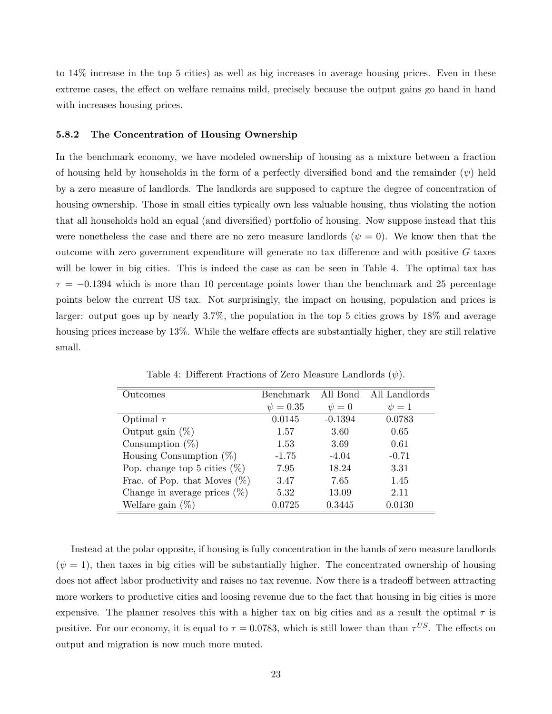to 14% increase in the top 5 cities) as well as big increases in average housing prices. Even in these extreme cases, the effect on welfare remains mild, precisely because the output gains go hand in hand with increases housing prices.

#### 5.8.2 The Concentration of Housing Ownership

In the benchmark economy, we have modeled ownership of housing as a mixture between a fraction of housing held by households in the form of a perfectly diversified bond and the remainder  $(\psi)$  held by a zero measure of landlords. The landlords are supposed to capture the degree of concentration of housing ownership. Those in small cities typically own less valuable housing, thus violating the notion that all households hold an equal (and diversified) portfolio of housing. Now suppose instead that this were nonetheless the case and there are no zero measure landlords ( $\psi = 0$ ). We know then that the outcome with zero government expenditure will generate no tax difference and with positive G taxes will be lower in big cities. This is indeed the case as can be seen in Table 4. The optimal tax has  $\tau = -0.1394$  which is more than 10 percentage points lower than the benchmark and 25 percentage points below the current US tax. Not surprisingly, the impact on housing, population and prices is larger: output goes up by nearly 3.7%, the population in the top 5 cities grows by 18% and average housing prices increase by 13%. While the welfare effects are substantially higher, they are still relative small.

| Outcomes                        | Benchmark     | All Bond   | All Landlords |
|---------------------------------|---------------|------------|---------------|
|                                 | $\psi = 0.35$ | $\psi = 0$ | $\psi = 1$    |
| Optimal $\tau$                  | 0.0145        | $-0.1394$  | 0.0783        |
| Output gain $(\%)$              | 1.57          | 3.60       | 0.65          |
| Consumption $(\%)$              | 1.53          | 3.69       | 0.61          |
| Housing Consumption $(\%)$      | $-1.75$       | $-4.04$    | $-0.71$       |
| Pop. change top 5 cities $(\%)$ | 7.95          | 18.24      | 3.31          |
| Frac. of Pop. that Moves $(\%)$ | 3.47          | 7.65       | 1.45          |
| Change in average prices $(\%)$ | 5.32          | 13.09      | 2.11          |
| Welfare gain $(\%)$             | $\,0.0725\,$  | 0.3445     | 0.0130        |

Table 4: Different Fractions of Zero Measure Landlords  $(\psi)$ .

Instead at the polar opposite, if housing is fully concentration in the hands of zero measure landlords  $(\psi = 1)$ , then taxes in big cities will be substantially higher. The concentrated ownership of housing does not affect labor productivity and raises no tax revenue. Now there is a tradeoff between attracting more workers to productive cities and loosing revenue due to the fact that housing in big cities is more expensive. The planner resolves this with a higher tax on big cities and as a result the optimal  $\tau$  is positive. For our economy, it is equal to  $\tau = 0.0783$ , which is still lower than than  $\tau^{US}$ . The effects on output and migration is now much more muted.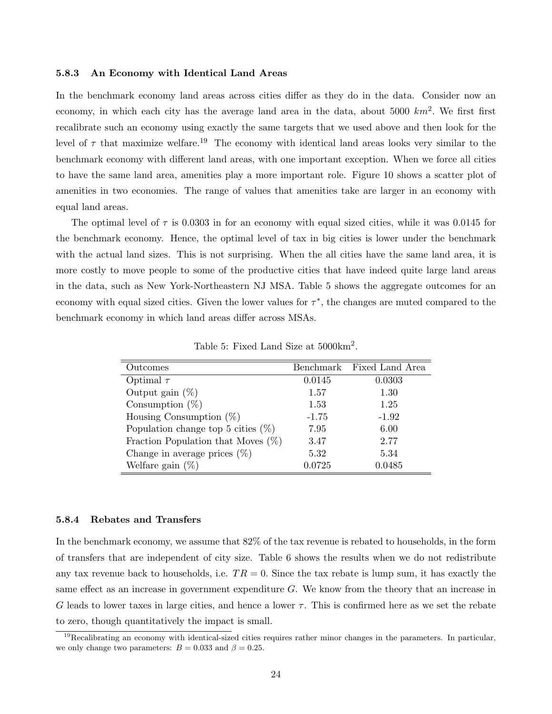#### 5.8.3 An Economy with Identical Land Areas

In the benchmark economy land areas across cities differ as they do in the data. Consider now an economy, in which each city has the average land area in the data, about 5000  $km^2$ . We first first recalibrate such an economy using exactly the same targets that we used above and then look for the level of  $\tau$  that maximize welfare.<sup>19</sup> The economy with identical land areas looks very similar to the benchmark economy with different land areas, with one important exception. When we force all cities to have the same land area, amenities play a more important role. Figure 10 shows a scatter plot of amenities in two economies. The range of values that amenities take are larger in an economy with equal land areas.

The optimal level of  $\tau$  is 0.0303 in for an economy with equal sized cities, while it was 0.0145 for the benchmark economy. Hence, the optimal level of tax in big cities is lower under the benchmark with the actual land sizes. This is not surprising. When the all cities have the same land area, it is more costly to move people to some of the productive cities that have indeed quite large land areas in the data, such as New York-Northeastern NJ MSA. Table 5 shows the aggregate outcomes for an economy with equal sized cities. Given the lower values for  $\tau^*$ , the changes are muted compared to the benchmark economy in which land areas differ across MSAs.

| Outcomes                              |         | Benchmark Fixed Land Area |
|---------------------------------------|---------|---------------------------|
| Optimal $\tau$                        | 0.0145  | 0.0303                    |
| Output gain $(\%)$                    | 1.57    | 1.30                      |
| Consumption $(\%)$                    | 1.53    | 1.25                      |
| Housing Consumption $(\%)$            | $-1.75$ | $-1.92$                   |
| Population change top 5 cities $(\%)$ | 7.95    | 6.00                      |
| Fraction Population that Moves $(\%)$ | 3.47    | 2.77                      |
| Change in average prices $(\%)$       | 5.32    | 5.34                      |
| Welfare gain $(\%)$                   | 0.0725  | 0.0485                    |

Table 5: Fixed Land Size at  $5000 \text{km}^2$ .

#### 5.8.4 Rebates and Transfers

In the benchmark economy, we assume that 82% of the tax revenue is rebated to households, in the form of transfers that are independent of city size. Table 6 shows the results when we do not redistribute any tax revenue back to households, i.e.  $TR = 0$ . Since the tax rebate is lump sum, it has exactly the same effect as an increase in government expenditure G. We know from the theory that an increase in G leads to lower taxes in large cities, and hence a lower  $\tau$ . This is confirmed here as we set the rebate to zero, though quantitatively the impact is small.

 $19$ Recalibrating an economy with identical-sized cities requires rather minor changes in the parameters. In particular, we only change two parameters:  $B = 0.033$  and  $\beta = 0.25$ .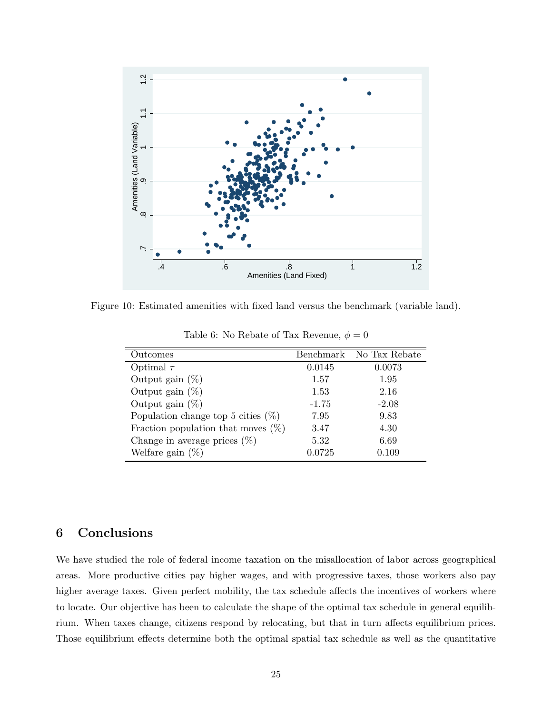

Figure 10: Estimated amenities with fixed land versus the benchmark (variable land).

| Outcomes                              |              | Benchmark No Tax Rebate |
|---------------------------------------|--------------|-------------------------|
| Optimal $\tau$                        | 0.0145       | 0.0073                  |
| Output gain $(\%)$                    | 1.57         | 1.95                    |
| Output gain $(\%)$                    | 1.53         | 2.16                    |
| Output gain $(\%)$                    | $-1.75$      | $-2.08$                 |
| Population change top 5 cities $(\%)$ | 7.95         | 9.83                    |
| Fraction population that moves $(\%)$ | 3.47         | 4.30                    |
| Change in average prices $(\%)$       | 5.32         | 6.69                    |
| Welfare gain $(\%)$                   | $\,0.0725\,$ | 0.109                   |

Table 6: No Rebate of Tax Revenue,  $\phi = 0$ 

## 6 Conclusions

We have studied the role of federal income taxation on the misallocation of labor across geographical areas. More productive cities pay higher wages, and with progressive taxes, those workers also pay higher average taxes. Given perfect mobility, the tax schedule affects the incentives of workers where to locate. Our objective has been to calculate the shape of the optimal tax schedule in general equilibrium. When taxes change, citizens respond by relocating, but that in turn affects equilibrium prices. Those equilibrium effects determine both the optimal spatial tax schedule as well as the quantitative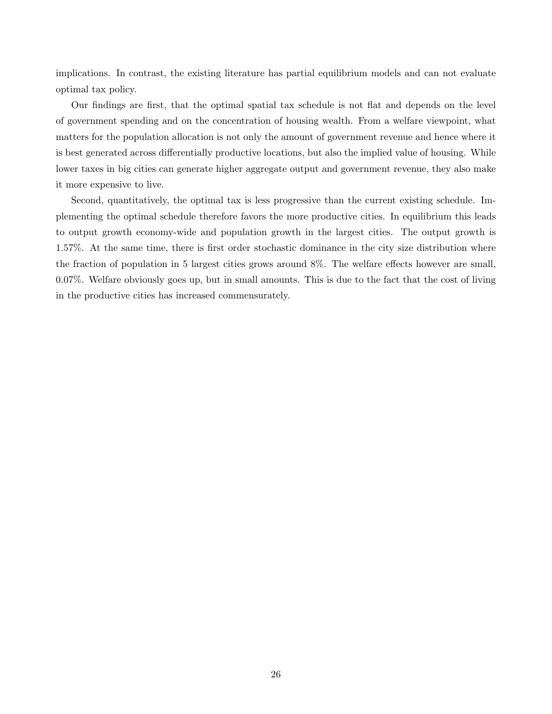implications. In contrast, the existing literature has partial equilibrium models and can not evaluate optimal tax policy.

Our findings are first, that the optimal spatial tax schedule is not flat and depends on the level of government spending and on the concentration of housing wealth. From a welfare viewpoint, what matters for the population allocation is not only the amount of government revenue and hence where it is best generated across differentially productive locations, but also the implied value of housing. While lower taxes in big cities can generate higher aggregate output and government revenue, they also make it more expensive to live.

Second, quantitatively, the optimal tax is less progressive than the current existing schedule. Implementing the optimal schedule therefore favors the more productive cities. In equilibrium this leads to output growth economy-wide and population growth in the largest cities. The output growth is 1.57%. At the same time, there is first order stochastic dominance in the city size distribution where the fraction of population in 5 largest cities grows around 8%. The welfare effects however are small, 0.07%. Welfare obviously goes up, but in small amounts. This is due to the fact that the cost of living in the productive cities has increased commensurately.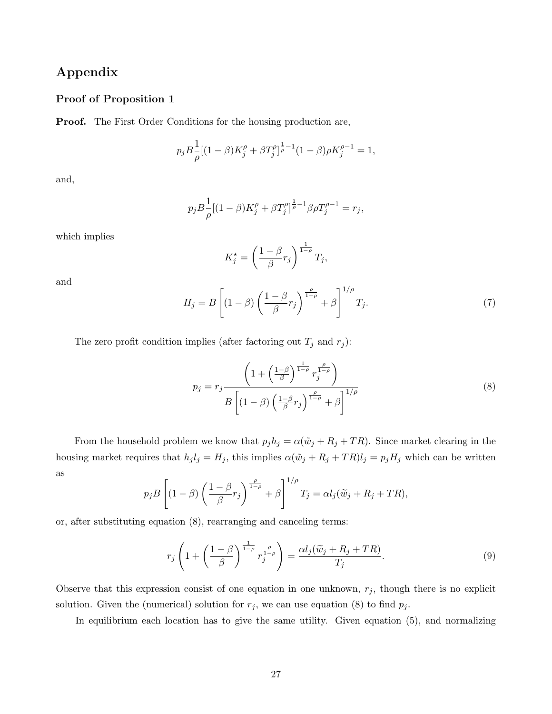## Appendix

#### Proof of Proposition 1

Proof. The First Order Conditions for the housing production are,

$$
p_j B \frac{1}{\rho} [(1-\beta)K_j^{\rho} + \beta T_j^{\rho}]^{\frac{1}{\rho}-1} (1-\beta) \rho K_j^{\rho-1} = 1,
$$

and,

$$
p_j B \frac{1}{\rho} [(1-\beta)K_j^{\rho} + \beta T_j^{\rho}]^{\frac{1}{\rho}-1} \beta \rho T_j^{\rho-1} = r_j,
$$

which implies

$$
K_j^* = \left(\frac{1-\beta}{\beta}r_j\right)^{\frac{1}{1-\rho}}T_j,
$$

and

$$
H_j = B \left[ (1 - \beta) \left( \frac{1 - \beta}{\beta} r_j \right)^{\frac{\rho}{1 - \rho}} + \beta \right]^{1/\rho} T_j. \tag{7}
$$

The zero profit condition implies (after factoring out  $T_j$  and  $r_j$ ):

$$
p_j = r_j \frac{\left(1 + \left(\frac{1-\beta}{\beta}\right)^{\frac{1}{1-\rho}} r_j^{\frac{\rho}{1-\rho}}\right)}{B\left[(1-\beta)\left(\frac{1-\beta}{\beta}r_j\right)^{\frac{\rho}{1-\rho}} + \beta\right]^{1/\rho}}
$$
\n(8)

From the household problem we know that  $p_j h_j = \alpha(\tilde{w}_j + R_j + TR)$ . Since market clearing in the housing market requires that  $h_j l_j = H_j$ , this implies  $\alpha(\tilde{w}_j + R_j + TR)l_j = p_jH_j$  which can be written as

$$
p_j B\left[ (1-\beta) \left( \frac{1-\beta}{\beta} r_j \right)^{\frac{\rho}{1-\rho}} + \beta \right]^{1/\rho} T_j = \alpha l_j (\widetilde{w}_j + R_j + TR),
$$

or, after substituting equation (8), rearranging and canceling terms:

$$
r_j \left( 1 + \left( \frac{1 - \beta}{\beta} \right)^{\frac{1}{1 - \rho}} r_j^{\frac{\rho}{1 - \rho}} \right) = \frac{\alpha l_j(\widetilde{w}_j + R_j + TR)}{T_j}.
$$
\n(9)

Observe that this expression consist of one equation in one unknown,  $r_j$ , though there is no explicit solution. Given the (numerical) solution for  $r_j$ , we can use equation (8) to find  $p_j$ .

In equilibrium each location has to give the same utility. Given equation (5), and normalizing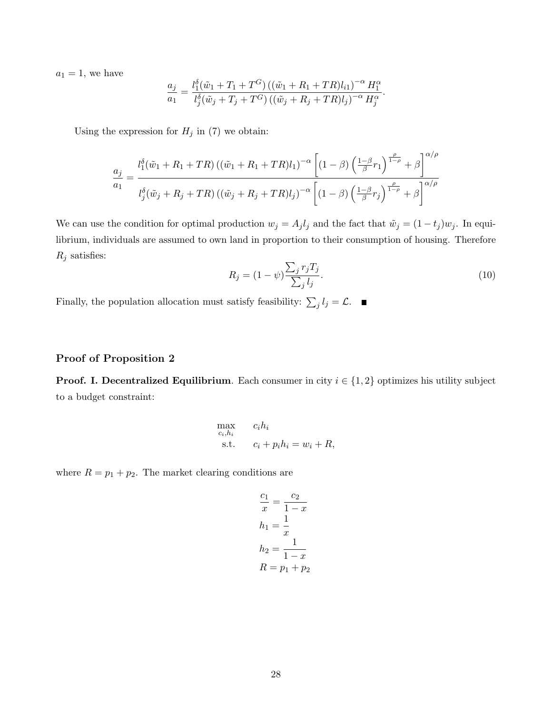$a_1 = 1$ , we have

$$
\frac{a_j}{a_1} = \frac{l_1^{\delta}(\tilde{w}_1 + T_1 + T^G) ((\tilde{w}_1 + R_1 + TR)l_{i1})^{-\alpha} H_1^{\alpha}}{l_j^{\delta}(\tilde{w}_j + T_j + T^G) ((\tilde{w}_j + R_j + TR)l_j)^{-\alpha} H_j^{\alpha}}.
$$

Using the expression for  $H_j$  in (7) we obtain:

$$
\frac{a_j}{a_1} = \frac{l_1^{\delta}(\tilde{w}_1 + R_1 + TR) ((\tilde{w}_1 + R_1 + TR)l_1)^{-\alpha} \left[ (1 - \beta) \left( \frac{1 - \beta}{\beta} r_1 \right)^{\frac{\rho}{1 - \rho}} + \beta \right]^{\alpha/\rho}}{l_j^{\delta}(\tilde{w}_j + R_j + TR) ((\tilde{w}_j + R_j + TR)l_j)^{-\alpha} \left[ (1 - \beta) \left( \frac{1 - \beta}{\beta} r_j \right)^{\frac{\rho}{1 - \rho}} + \beta \right]^{\alpha/\rho}}
$$

We can use the condition for optimal production  $w_j = A_j l_j$  and the fact that  $\tilde{w}_j = (1 - t_j) w_j$ . In equilibrium, individuals are assumed to own land in proportion to their consumption of housing. Therefore  $\mathcal{R}_j$  satisfies:

$$
R_j = (1 - \psi) \frac{\sum_j r_j T_j}{\sum_j l_j}.\tag{10}
$$

Finally, the population allocation must satisfy feasibility:  $\sum_j l_j = \mathcal{L}$ .

#### Proof of Proposition 2

**Proof. I. Decentralized Equilibrium**. Each consumer in city  $i \in \{1, 2\}$  optimizes his utility subject to a budget constraint:

$$
\begin{array}{ll}\n\max_{c_i, h_i} & c_i h_i \\
\text{s.t.} & c_i + p_i h_i = w_i + R,\n\end{array}
$$

where  $R = p_1 + p_2$ . The market clearing conditions are

$$
\frac{c_1}{x} = \frac{c_2}{1-x}
$$

$$
h_1 = \frac{1}{x}
$$

$$
h_2 = \frac{1}{1-x}
$$

$$
R = p_1 + p_2
$$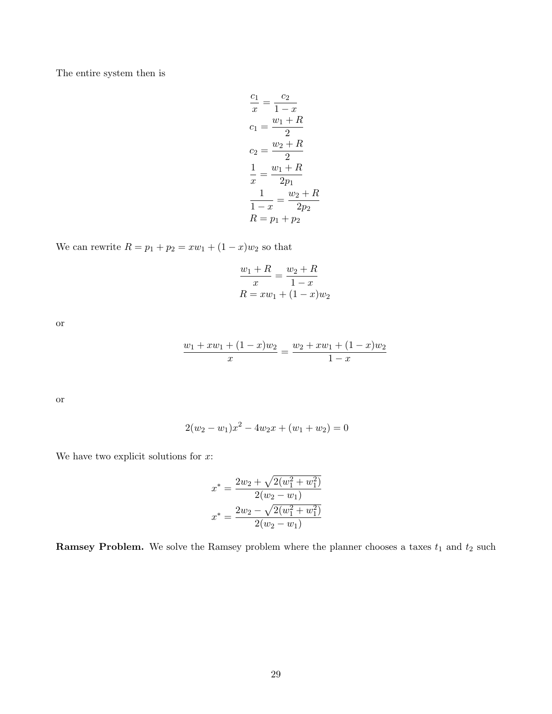The entire system then is

$$
\frac{c_1}{x} = \frac{c_2}{1-x}
$$
  
\n
$$
c_1 = \frac{w_1 + R}{2}
$$
  
\n
$$
c_2 = \frac{w_2 + R}{2}
$$
  
\n
$$
\frac{1}{x} = \frac{w_1 + R}{2p_1}
$$
  
\n
$$
\frac{1}{1-x} = \frac{w_2 + R}{2p_2}
$$
  
\n
$$
R = p_1 + p_2
$$

We can rewrite  $R = p_1 + p_2 = xw_1 + (1 - x)w_2$  so that

$$
\frac{w_1 + R}{x} = \frac{w_2 + R}{1 - x}
$$

$$
R = xw_1 + (1 - x)w_2
$$

or

$$
\frac{w_1 + xw_1 + (1-x)w_2}{x} = \frac{w_2 + xw_1 + (1-x)w_2}{1-x}
$$

or

$$
2(w_2 - w_1)x^2 - 4w_2x + (w_1 + w_2) = 0
$$

We have two explicit solutions for  $x$ :

$$
x^* = \frac{2w_2 + \sqrt{2(w_1^2 + w_1^2)}}{2(w_2 - w_1)}
$$

$$
x^* = \frac{2w_2 - \sqrt{2(w_1^2 + w_1^2)}}{2(w_2 - w_1)}
$$

**Ramsey Problem.** We solve the Ramsey problem where the planner chooses a taxes  $t_1$  and  $t_2$  such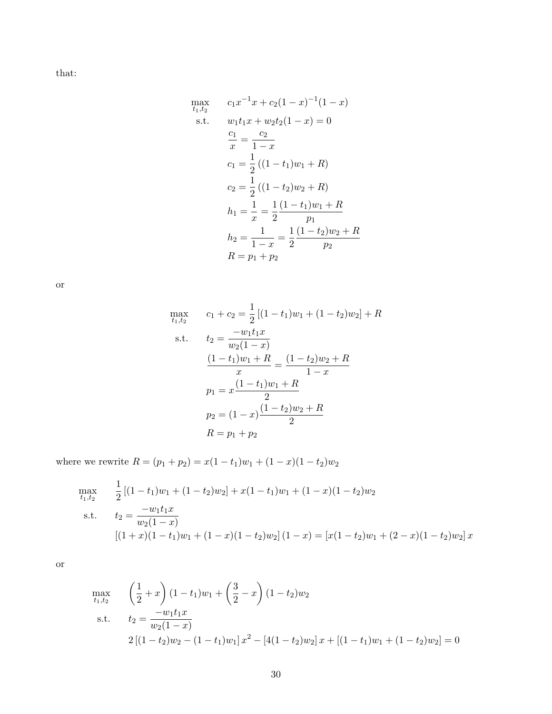that:

$$
\max_{t_1, t_2} \qquad c_1 x^{-1} x + c_2 (1 - x)^{-1} (1 - x)
$$
\n
$$
\text{s.t.} \qquad w_1 t_1 x + w_2 t_2 (1 - x) = 0
$$
\n
$$
\frac{c_1}{x} = \frac{c_2}{1 - x}
$$
\n
$$
c_1 = \frac{1}{2} ((1 - t_1) w_1 + R)
$$
\n
$$
c_2 = \frac{1}{2} ((1 - t_2) w_2 + R)
$$
\n
$$
h_1 = \frac{1}{x} = \frac{1}{2} \frac{(1 - t_1) w_1 + R}{p_1}
$$
\n
$$
h_2 = \frac{1}{1 - x} = \frac{1}{2} \frac{(1 - t_2) w_2 + R}{p_2}
$$
\n
$$
R = p_1 + p_2
$$

or

$$
\max_{t_1, t_2} \qquad c_1 + c_2 = \frac{1}{2} \left[ (1 - t_1) w_1 + (1 - t_2) w_2 \right] + R
$$
\n
$$
\text{s.t.} \qquad t_2 = \frac{-w_1 t_1 x}{w_2 (1 - x)}
$$
\n
$$
\frac{(1 - t_1) w_1 + R}{x} = \frac{(1 - t_2) w_2 + R}{1 - x}
$$
\n
$$
p_1 = x \frac{(1 - t_1) w_1 + R}{2}
$$
\n
$$
p_2 = (1 - x) \frac{(1 - t_2) w_2 + R}{2}
$$
\n
$$
R = p_1 + p_2
$$

where we rewrite  $R = (p_1 + p_2) = x(1 - t_1)w_1 + (1 - x)(1 - t_2)w_2$ 

$$
\max_{t_1, t_2} \frac{1}{2} [(1 - t_1)w_1 + (1 - t_2)w_2] + x(1 - t_1)w_1 + (1 - x)(1 - t_2)w_2
$$
\n
$$
\text{s.t.} \quad t_2 = \frac{-w_1 t_1 x}{w_2 (1 - x)}
$$
\n
$$
[(1 + x)(1 - t_1)w_1 + (1 - x)(1 - t_2)w_2] (1 - x) = [x(1 - t_2)w_1 + (2 - x)(1 - t_2)w_2] x
$$

or

$$
\max_{t_1, t_2} \qquad \left(\frac{1}{2} + x\right)(1 - t_1)w_1 + \left(\frac{3}{2} - x\right)(1 - t_2)w_2
$$
\n
$$
\text{s.t.} \qquad t_2 = \frac{-w_1 t_1 x}{w_2 (1 - x)}
$$
\n
$$
2\left[(1 - t_2)w_2 - (1 - t_1)w_1\right]x^2 - \left[4(1 - t_2)w_2\right]x + \left[(1 - t_1)w_1 + (1 - t_2)w_2\right] = 0
$$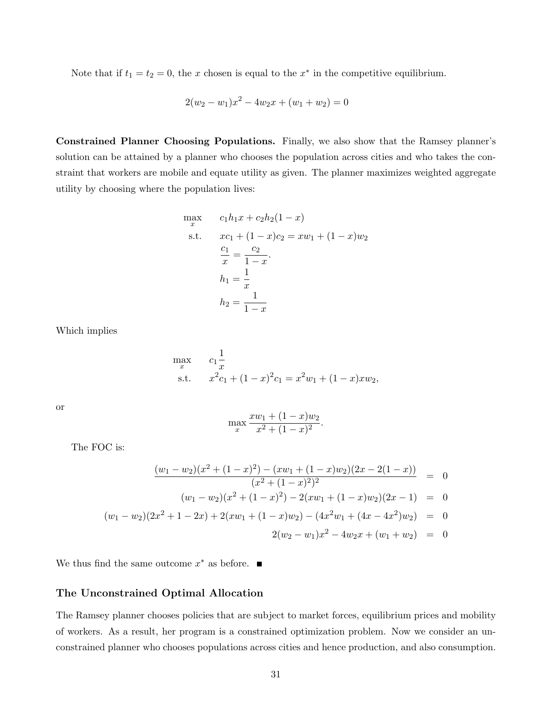Note that if  $t_1 = t_2 = 0$ , the x chosen is equal to the  $x^*$  in the competitive equilibrium.

$$
2(w_2 - w_1)x^2 - 4w_2x + (w_1 + w_2) = 0
$$

Constrained Planner Choosing Populations. Finally, we also show that the Ramsey planner's solution can be attained by a planner who chooses the population across cities and who takes the constraint that workers are mobile and equate utility as given. The planner maximizes weighted aggregate utility by choosing where the population lives:

$$
\max_{x} \quad c_1 h_1 x + c_2 h_2 (1 - x)
$$
\n
$$
\text{s.t.} \quad x c_1 + (1 - x) c_2 = x w_1 + (1 - x) w_2
$$
\n
$$
\frac{c_1}{x} = \frac{c_2}{1 - x}.
$$
\n
$$
h_1 = \frac{1}{x}
$$
\n
$$
h_2 = \frac{1}{1 - x}
$$

Which implies

$$
\max_{x} \quad c_1 \frac{1}{x}
$$
\n
$$
\text{s.t.} \quad x^2 c_1 + (1-x)^2 c_1 = x^2 w_1 + (1-x) x w_2,
$$

or

$$
\max_{x} \frac{xw_1 + (1-x)w_2}{x^2 + (1-x)^2}.
$$

The FOC is:

$$
\frac{(w_1 - w_2)(x^2 + (1 - x)^2) - (xw_1 + (1 - x)w_2)(2x - 2(1 - x))}{(x^2 + (1 - x)^2)^2} = 0
$$
  
\n
$$
(w_1 - w_2)(x^2 + (1 - x)^2) - 2(xw_1 + (1 - x)w_2)(2x - 1) = 0
$$
  
\n
$$
(w_1 - w_2)(2x^2 + 1 - 2x) + 2(xw_1 + (1 - x)w_2) - (4x^2w_1 + (4x - 4x^2)w_2) = 0
$$
  
\n
$$
2(w_2 - w_1)x^2 - 4w_2x + (w_1 + w_2) = 0
$$

We thus find the same outcome  $x^*$  as before.

#### The Unconstrained Optimal Allocation

The Ramsey planner chooses policies that are subject to market forces, equilibrium prices and mobility of workers. As a result, her program is a constrained optimization problem. Now we consider an unconstrained planner who chooses populations across cities and hence production, and also consumption.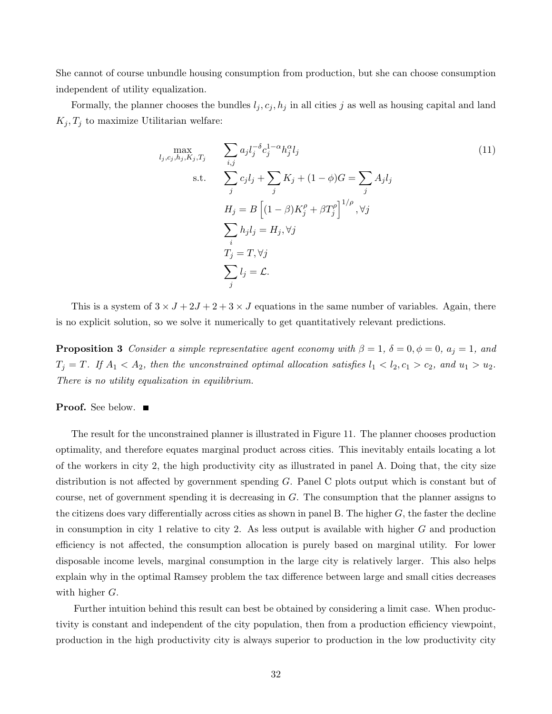She cannot of course unbundle housing consumption from production, but she can choose consumption independent of utility equalization.

Formally, the planner chooses the bundles  $l_j, c_j, h_j$  in all cities j as well as housing capital and land  $K_j, T_j$  to maximize Utilitarian welfare:

$$
\max_{l_j, c_j, h_j, K_j, T_j} \qquad \sum_{i,j} a_j l_j^{-\delta} c_j^{1-\alpha} h_j^{\alpha} l_j
$$
\n
$$
\text{s.t.} \qquad \sum_j c_j l_j + \sum_j K_j + (1 - \phi) G = \sum_j A_j l_j
$$
\n
$$
H_j = B \left[ (1 - \beta) K_j^{\rho} + \beta T_j^{\rho} \right]^{1/\rho}, \forall j
$$
\n
$$
\sum_i h_j l_j = H_j, \forall j
$$
\n
$$
T_j = T, \forall j
$$
\n
$$
\sum_j l_j = \mathcal{L}.
$$
\n(11)

This is a system of  $3 \times J + 2J + 2 + 3 \times J$  equations in the same number of variables. Again, there is no explicit solution, so we solve it numerically to get quantitatively relevant predictions.

**Proposition 3** Consider a simple representative agent economy with  $\beta = 1$ ,  $\delta = 0$ ,  $\phi = 0$ ,  $a_j = 1$ , and  $T_j = T$ . If  $A_1 < A_2$ , then the unconstrained optimal allocation satisfies  $l_1 < l_2, c_1 > c_2$ , and  $u_1 > u_2$ . There is no utility equalization in equilibrium.

**Proof.** See below. ■

The result for the unconstrained planner is illustrated in Figure 11. The planner chooses production optimality, and therefore equates marginal product across cities. This inevitably entails locating a lot of the workers in city 2, the high productivity city as illustrated in panel A. Doing that, the city size distribution is not affected by government spending G. Panel C plots output which is constant but of course, net of government spending it is decreasing in G. The consumption that the planner assigns to the citizens does vary differentially across cities as shown in panel B. The higher G, the faster the decline in consumption in city 1 relative to city 2. As less output is available with higher  $G$  and production efficiency is not affected, the consumption allocation is purely based on marginal utility. For lower disposable income levels, marginal consumption in the large city is relatively larger. This also helps explain why in the optimal Ramsey problem the tax difference between large and small cities decreases with higher G.

Further intuition behind this result can best be obtained by considering a limit case. When productivity is constant and independent of the city population, then from a production efficiency viewpoint, production in the high productivity city is always superior to production in the low productivity city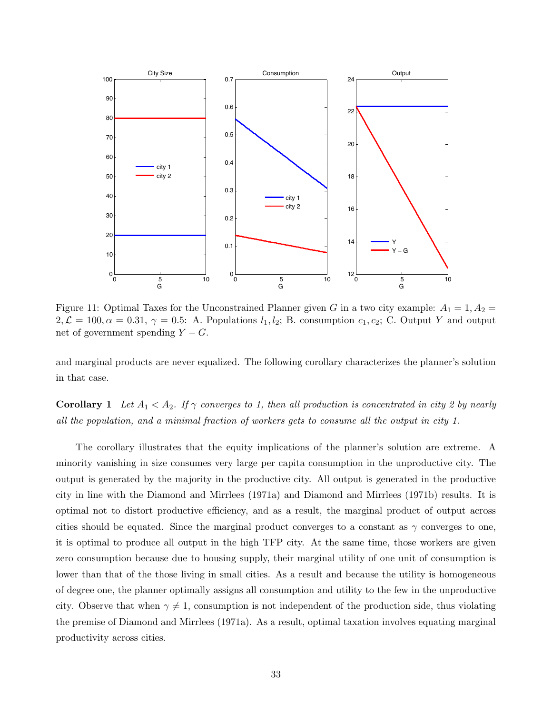

Figure 11: Optimal Taxes for the Unconstrained Planner given G in a two city example:  $A_1 = 1, A_2 =$  $2,\mathcal{L} = 100, \alpha = 0.31, \gamma = 0.5$ : A. Populations  $l_1, l_2$ ; B. consumption  $c_1, c_2$ ; C. Output Y and output net of government spending  $Y - G$ .

and marginal products are never equalized. The following corollary characterizes the planner's solution in that case.

**Corollary 1** Let  $A_1 < A_2$ . If  $\gamma$  converges to 1, then all production is concentrated in city 2 by nearly all the population, and a minimal fraction of workers gets to consume all the output in city 1.

The corollary illustrates that the equity implications of the planner's solution are extreme. A minority vanishing in size consumes very large per capita consumption in the unproductive city. The output is generated by the majority in the productive city. All output is generated in the productive city in line with the Diamond and Mirrlees (1971a) and Diamond and Mirrlees (1971b) results. It is optimal not to distort productive efficiency, and as a result, the marginal product of output across cities should be equated. Since the marginal product converges to a constant as  $\gamma$  converges to one, it is optimal to produce all output in the high TFP city. At the same time, those workers are given zero consumption because due to housing supply, their marginal utility of one unit of consumption is lower than that of the those living in small cities. As a result and because the utility is homogeneous of degree one, the planner optimally assigns all consumption and utility to the few in the unproductive city. Observe that when  $\gamma \neq 1$ , consumption is not independent of the production side, thus violating the premise of Diamond and Mirrlees (1971a). As a result, optimal taxation involves equating marginal productivity across cities.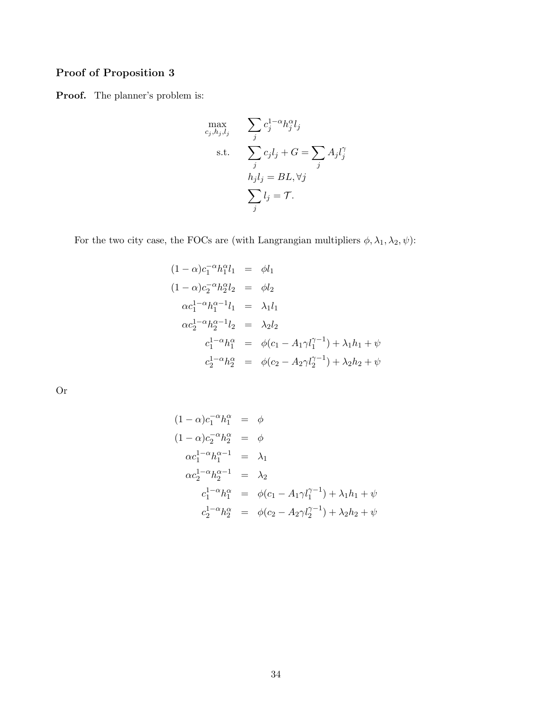## Proof of Proposition 3

Proof. The planner's problem is:

$$
\max_{c_j, h_j, l_j} \sum_j c_j^{1-\alpha} h_j^{\alpha} l_j
$$
\n
$$
\text{s.t.} \sum_j c_j l_j + G = \sum_j A_j l_j^{\alpha}
$$
\n
$$
h_j l_j = BL, \forall j
$$
\n
$$
\sum_j l_j = \mathcal{T}.
$$

For the two city case, the FOCs are (with Langrangian multipliers  $\phi$ ,  $\lambda_1$ ,  $\lambda_2$ ,  $\psi$ ):

$$
(1 - \alpha)c_1^{-\alpha}h_1^{\alpha}l_1 = \phi l_1
$$
  
\n
$$
(1 - \alpha)c_2^{-\alpha}h_2^{\alpha}l_2 = \phi l_2
$$
  
\n
$$
\alpha c_1^{1 - \alpha}h_1^{\alpha - 1}l_1 = \lambda_1l_1
$$
  
\n
$$
\alpha c_2^{1 - \alpha}h_2^{\alpha - 1}l_2 = \lambda_2l_2
$$
  
\n
$$
c_1^{1 - \alpha}h_1^{\alpha} = \phi(c_1 - A_1\gamma l_1^{\gamma - 1}) + \lambda_1h_1 + \psi
$$
  
\n
$$
c_2^{1 - \alpha}h_2^{\alpha} = \phi(c_2 - A_2\gamma l_2^{\gamma - 1}) + \lambda_2h_2 + \psi
$$

Or

$$
(1 - \alpha)c_1^{-\alpha}h_1^{\alpha} = \phi
$$
  
\n
$$
(1 - \alpha)c_2^{-\alpha}h_2^{\alpha} = \phi
$$
  
\n
$$
\alpha c_1^{1-\alpha}h_1^{\alpha-1} = \lambda_1
$$
  
\n
$$
\alpha c_2^{1-\alpha}h_2^{\alpha-1} = \lambda_2
$$
  
\n
$$
c_1^{1-\alpha}h_1^{\alpha} = \phi(c_1 - A_1\gamma l_1^{\gamma-1}) + \lambda_1h_1 + \psi
$$
  
\n
$$
c_2^{1-\alpha}h_2^{\alpha} = \phi(c_2 - A_2\gamma l_2^{\gamma-1}) + \lambda_2h_2 + \psi
$$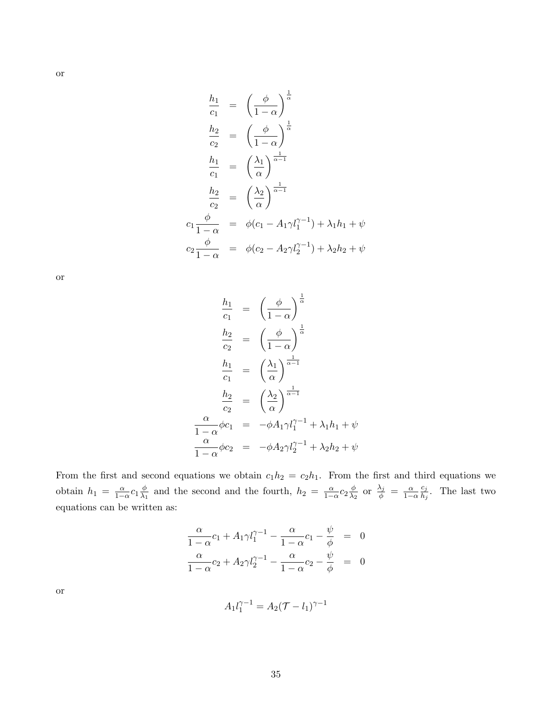$$
\frac{h_1}{c_1} = \left(\frac{\phi}{1-\alpha}\right)^{\frac{1}{\alpha}}
$$
\n
$$
\frac{h_2}{c_2} = \left(\frac{\phi}{1-\alpha}\right)^{\frac{1}{\alpha}}
$$
\n
$$
\frac{h_1}{c_1} = \left(\frac{\lambda_1}{\alpha}\right)^{\frac{1}{\alpha-1}}
$$
\n
$$
\frac{h_2}{c_2} = \left(\frac{\lambda_2}{\alpha}\right)^{\frac{1}{\alpha-1}}
$$
\n
$$
c_1 \frac{\phi}{1-\alpha} = \phi(c_1 - A_1 \gamma l_1^{\gamma-1}) + \lambda_1 h_1 + \psi
$$
\n
$$
c_2 \frac{\phi}{1-\alpha} = \phi(c_2 - A_2 \gamma l_2^{\gamma-1}) + \lambda_2 h_2 + \psi
$$

or

$$
\frac{h_1}{c_1} = \left(\frac{\phi}{1-\alpha}\right)^{\frac{1}{\alpha}}
$$
\n
$$
\frac{h_2}{c_2} = \left(\frac{\phi}{1-\alpha}\right)^{\frac{1}{\alpha}}
$$
\n
$$
\frac{h_1}{c_1} = \left(\frac{\lambda_1}{\alpha}\right)^{\frac{1}{\alpha-1}}
$$
\n
$$
\frac{h_2}{c_2} = \left(\frac{\lambda_2}{\alpha}\right)^{\frac{1}{\alpha-1}}
$$
\n
$$
\frac{\alpha}{1-\alpha}\phi c_1 = -\phi A_1 \gamma l_1^{\gamma-1} + \lambda_1 h_1 + \psi
$$
\n
$$
\frac{\alpha}{1-\alpha}\phi c_2 = -\phi A_2 \gamma l_2^{\gamma-1} + \lambda_2 h_2 + \psi
$$

From the first and second equations we obtain  $c_1h_2 = c_2h_1$ . From the first and third equations we obtain  $h_1 = \frac{\alpha}{1-\alpha} c_1 \frac{\phi}{\lambda_1}$  $\frac{\phi}{\lambda_1}$  and the second and the fourth,  $h_2 = \frac{\alpha}{1-\alpha}c_2\frac{\phi}{\lambda_2}$  $\frac{\phi}{\lambda_2}$  or  $\frac{\lambda_j}{\phi} = \frac{\alpha}{1-\alpha}$  $c_j$  $\frac{c_j}{h_j}$ . The last two equations can be written as:

$$
\frac{\alpha}{1-\alpha}c_1 + A_1\gamma l_1^{\gamma-1} - \frac{\alpha}{1-\alpha}c_1 - \frac{\psi}{\phi} = 0
$$
  

$$
\frac{\alpha}{1-\alpha}c_2 + A_2\gamma l_2^{\gamma-1} - \frac{\alpha}{1-\alpha}c_2 - \frac{\psi}{\phi} = 0
$$

or

$$
A_1 l_1^{\gamma - 1} = A_2 (\mathcal{T} - l_1)^{\gamma - 1}
$$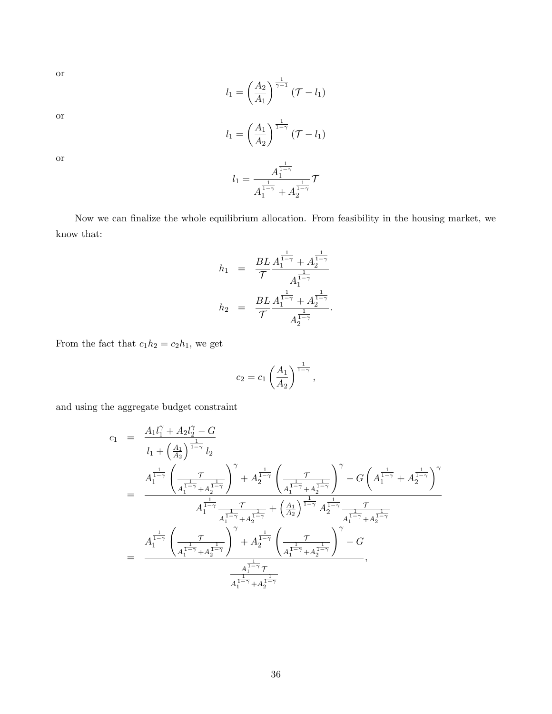or

$$
l_1 = \left(\frac{A_2}{A_1}\right)^{\frac{1}{\gamma - 1}} (\mathcal{T} - l_1)
$$

or

$$
l_1 = \left(\frac{A_1}{A_2}\right)^{\frac{1}{1-\gamma}} (\mathcal{T} - l_1)
$$

 $l_1 = \frac{A_1^{\frac{1}{1-\gamma}}}{1}$ 

or

Now we can finalize the whole equilibrium allocation. From feasibility in the housing market, we know that:

 $A_1^{\frac{1}{1-\gamma}}+A_2^{\frac{1}{1-\gamma}}$ 

 $\tau$ 

$$
h_1 = \frac{BL}{\mathcal{T}} \frac{A_1^{\frac{1}{1-\gamma}} + A_2^{\frac{1}{1-\gamma}}}{A_1^{\frac{1}{1-\gamma}}} \\
h_2 = \frac{BL}{\mathcal{T}} \frac{A_1^{\frac{1}{1-\gamma}} + A_2^{\frac{1}{1-\gamma}}}{A_2^{\frac{1}{1-\gamma}}}.
$$

From the fact that  $c_1h_2 = c_2h_1$ , we get

$$
c_2 = c_1 \left(\frac{A_1}{A_2}\right)^{\frac{1}{1-\gamma}},
$$

and using the aggregate budget constraint

$$
\begin{array}{lcl} c_1 &=& \displaystyle \frac{A_1 l_1^{\gamma} + A_2 l_2^{\gamma} - G }{l_1 + \left(\frac{A_1}{A_2}\right)^{\frac{1}{1-\gamma}} l_2} \\ &=& \displaystyle \frac{A_1^{\frac{1}{1-\gamma}} \left(\frac{\tau}{A_1^{\frac{1}{1-\gamma}} + A_2^{\frac{1}{1-\gamma}}}\right)^{\gamma} + A_2^{\frac{1}{1-\gamma}} \left(\frac{\tau}{A_1^{\frac{1}{1-\gamma}} + A_2^{\frac{1}{1-\gamma}}}\right)^{\gamma} - G \left(A_1^{\frac{1}{1-\gamma}} + A_2^{\frac{1}{1-\gamma}}\right)^{\gamma}}{A_1^{\frac{1}{1-\gamma}} \frac{\tau}{A_1^{\frac{1}{1-\gamma}} + A_2^{\frac{1}{1-\gamma}}}} + \left(\frac{A_1}{A_2}\right)^{\frac{1}{1-\gamma}} A_2^{\frac{1}{1-\gamma}} \frac{\tau}{A_1^{\frac{1}{1-\gamma}} + A_2^{\frac{1}{1-\gamma}}}} \\ &=& \displaystyle \frac{A_1^{\frac{1}{1-\gamma}} \left(\frac{\tau}{A_1^{\frac{1}{1-\gamma}} + A_2^{\frac{1}{1-\gamma}}}\right)^{\gamma} + A_2^{\frac{1}{1-\gamma}} \left(\frac{\tau}{A_1^{\frac{1}{1-\gamma}} + A_2^{\frac{1}{1-\gamma}}}\right)^{\gamma} - G }{A_1^{\frac{1}{1-\gamma}} + A_2^{\frac{1}{1-\gamma}}}, \\& & & \displaystyle \frac{A_1^{\frac{1}{1-\gamma}} \tau}{A_1^{\frac{1}{1-\gamma}} + A_2^{\frac{1}{1-\gamma}}}} \end{array}
$$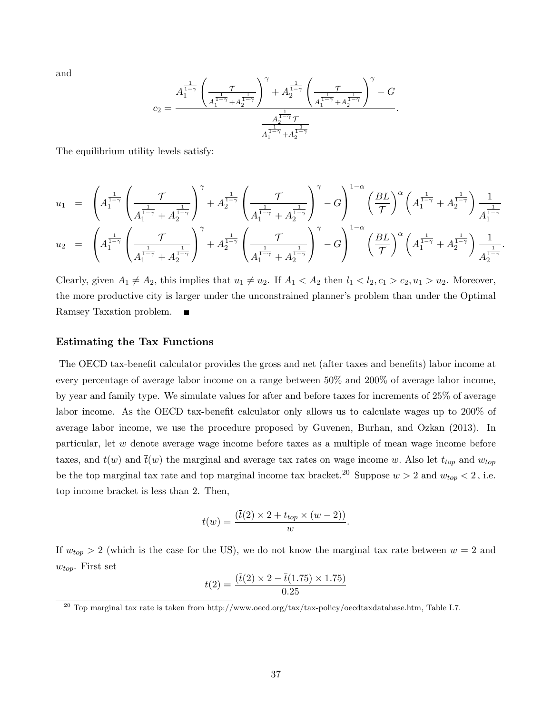and

$$
c_2=\frac{A_1^{\frac{1}{1-\gamma}}\left(\frac{\tau}{A_1^{\frac{1}{1-\gamma}}+A_2^{\frac{1}{1-\gamma}}}\right)^{\gamma}+A_2^{\frac{1}{1-\gamma}}\left(\frac{\tau}{A_1^{\frac{1}{1-\gamma}}+A_2^{\frac{1}{1-\gamma}}}\right)^{\gamma}-G}{A_1^{\frac{1}{1-\gamma}}+A_2^{\frac{1}{1-\gamma}}}. \label{c2}
$$

The equilibrium utility levels satisfy:

$$
u_1 = \left(A_1^{\frac{1}{1-\gamma}} \left(\frac{\mathcal{T}}{A_1^{\frac{1}{1-\gamma}} + A_2^{\frac{1}{1-\gamma}}}\right)^\gamma + A_2^{\frac{1}{1-\gamma}} \left(\frac{\mathcal{T}}{A_1^{\frac{1}{1-\gamma}} + A_2^{\frac{1}{1-\gamma}}}\right)^\gamma - G\right)^{1-\alpha} \left(\frac{BL}{\mathcal{T}}\right)^\alpha \left(A_1^{\frac{1}{1-\gamma}} + A_2^{\frac{1}{1-\gamma}}\right) \frac{1}{A_1^{\frac{1}{1-\gamma}}}
$$
  
\n
$$
u_2 = \left(A_1^{\frac{1}{1-\gamma}} \left(\frac{\mathcal{T}}{A_1^{\frac{1}{1-\gamma}} + A_2^{\frac{1}{1-\gamma}}}\right)^\gamma + A_2^{\frac{1}{1-\gamma}} \left(\frac{\mathcal{T}}{A_1^{\frac{1}{1-\gamma}} + A_2^{\frac{1}{1-\gamma}}}\right)^\gamma - G\right)^{1-\alpha} \left(\frac{BL}{\mathcal{T}}\right)^\alpha \left(A_1^{\frac{1}{1-\gamma}} + A_2^{\frac{1}{1-\gamma}}\right) \frac{1}{A_2^{\frac{1}{1-\gamma}}}
$$

.

Clearly, given  $A_1 \neq A_2$ , this implies that  $u_1 \neq u_2$ . If  $A_1 < A_2$  then  $l_1 < l_2, c_1 > c_2, u_1 > u_2$ . Moreover, the more productive city is larger under the unconstrained planner's problem than under the Optimal Ramsey Taxation problem. п

#### Estimating the Tax Functions

The OECD tax-benefit calculator provides the gross and net (after taxes and benefits) labor income at every percentage of average labor income on a range between 50% and 200% of average labor income, by year and family type. We simulate values for after and before taxes for increments of 25% of average labor income. As the OECD tax-benefit calculator only allows us to calculate wages up to 200% of average labor income, we use the procedure proposed by Guvenen, Burhan, and Ozkan (2013). In particular, let w denote average wage income before taxes as a multiple of mean wage income before taxes, and  $t(w)$  and  $\bar{t}(w)$  the marginal and average tax rates on wage income w. Also let  $t_{top}$  and  $w_{top}$ be the top marginal tax rate and top marginal income tax bracket.<sup>20</sup> Suppose  $w > 2$  and  $w_{top} < 2$ , i.e. top income bracket is less than 2. Then,

$$
t(w) = \frac{(\overline{t}(2) \times 2 + t_{top} \times (w - 2))}{w}.
$$

If  $w_{top} > 2$  (which is the case for the US), we do not know the marginal tax rate between  $w = 2$  and  $w_{top}$ . First set

$$
t(2) = \frac{(\bar{t}(2) \times 2 - \bar{t}(1.75) \times 1.75)}{0.25}
$$

<sup>&</sup>lt;sup>20</sup> Top marginal tax rate is taken from http://www.oecd.org/tax/tax-policy/oecdtaxdatabase.htm, Table I.7.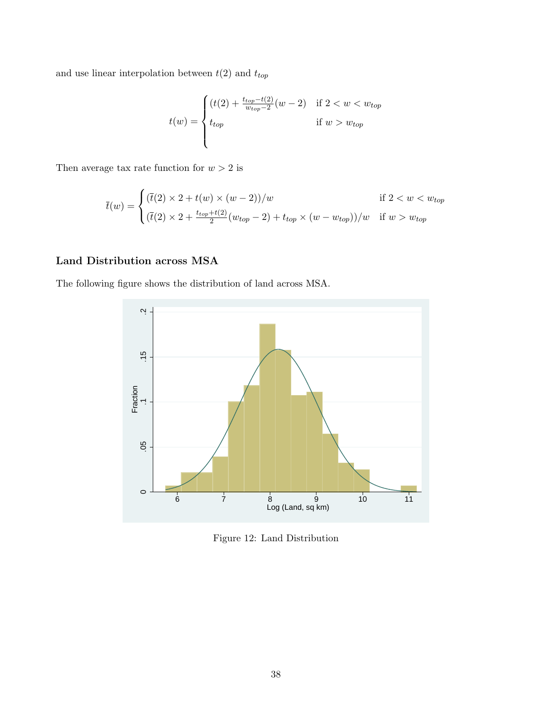and use linear interpolation between  $t(2)$  and  $t_{top}$ 

$$
t(w) = \begin{cases} (t(2) + \frac{t_{top} - t(2)}{w_{top} - 2}(w - 2) & \text{if } 2 < w < w_{top} \\ t_{top} & \text{if } w > w_{top} \end{cases}
$$

Then average tax rate function for  $w > 2$  is

$$
\bar{t}(w) = \begin{cases}\n(\bar{t}(2) \times 2 + t(w) \times (w - 2))/w & \text{if } 2 < w < w_{top} \\
(\bar{t}(2) \times 2 + \frac{t_{top} + t(2)}{2}(w_{top} - 2) + t_{top} \times (w - w_{top}))/w & \text{if } w > w_{top}\n\end{cases}
$$

### Land Distribution across MSA

The following figure shows the distribution of land across MSA.



Figure 12: Land Distribution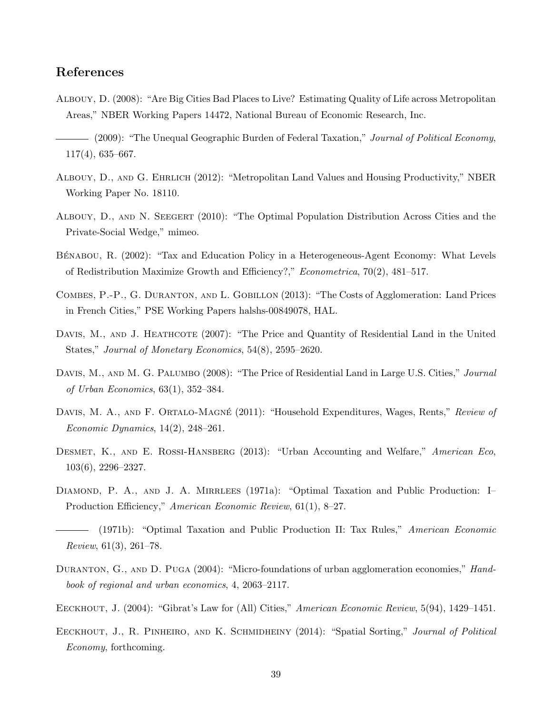#### References

- Albouy, D. (2008): "Are Big Cities Bad Places to Live? Estimating Quality of Life across Metropolitan Areas," NBER Working Papers 14472, National Bureau of Economic Research, Inc.
- (2009): "The Unequal Geographic Burden of Federal Taxation," Journal of Political Economy, 117(4), 635–667.
- Albouy, D., and G. Ehrlich (2012): "Metropolitan Land Values and Housing Productivity," NBER Working Paper No. 18110.
- Albouy, D., and N. Seegert (2010): "The Optimal Population Distribution Across Cities and the Private-Social Wedge," mimeo.
- BÉNABOU, R. (2002): "Tax and Education Policy in a Heterogeneous-Agent Economy: What Levels of Redistribution Maximize Growth and Efficiency?," Econometrica, 70(2), 481–517.
- COMBES, P.-P., G. DURANTON, AND L. GOBILLON (2013): "The Costs of Agglomeration: Land Prices in French Cities," PSE Working Papers halshs-00849078, HAL.
- DAVIS, M., AND J. HEATHCOTE (2007): "The Price and Quantity of Residential Land in the United States," Journal of Monetary Economics, 54(8), 2595–2620.
- DAVIS, M., AND M. G. PALUMBO (2008): "The Price of Residential Land in Large U.S. Cities," Journal of Urban Economics, 63(1), 352–384.
- DAVIS, M. A., AND F. ORTALO-MAGNÉ (2011): "Household Expenditures, Wages, Rents," Review of Economic Dynamics, 14(2), 248–261.
- DESMET, K., AND E. ROSSI-HANSBERG (2013): "Urban Accounting and Welfare," American Eco, 103(6), 2296–2327.
- DIAMOND, P. A., AND J. A. MIRRLEES (1971a): "Optimal Taxation and Public Production: I– Production Efficiency," American Economic Review, 61(1), 8–27.
- (1971b): "Optimal Taxation and Public Production II: Tax Rules," American Economic Review, 61(3), 261–78.
- DURANTON, G., AND D. PUGA (2004): "Micro-foundations of urban agglomeration economies," Handbook of regional and urban economics, 4, 2063–2117.
- EECKHOUT, J. (2004): "Gibrat's Law for (All) Cities," American Economic Review, 5(94), 1429–1451.
- EECKHOUT, J., R. PINHEIRO, AND K. SCHMIDHEINY (2014): "Spatial Sorting," *Journal of Political* Economy, forthcoming.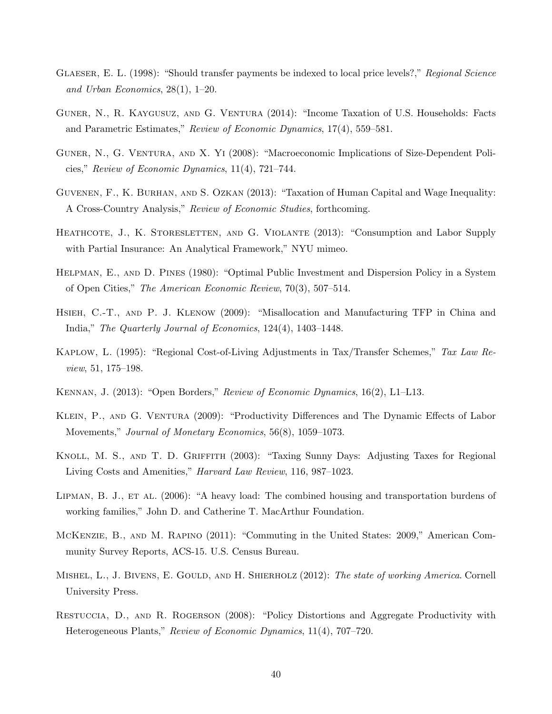- GLAESER, E. L. (1998): "Should transfer payments be indexed to local price levels?," Regional Science and Urban Economics, 28(1), 1–20.
- GUNER, N., R. KAYGUSUZ, AND G. VENTURA (2014): "Income Taxation of U.S. Households: Facts and Parametric Estimates," Review of Economic Dynamics, 17(4), 559–581.
- Guner, N., G. Ventura, and X. Yi (2008): "Macroeconomic Implications of Size-Dependent Policies," Review of Economic Dynamics, 11(4), 721–744.
- Guvenen, F., K. Burhan, and S. Ozkan (2013): "Taxation of Human Capital and Wage Inequality: A Cross-Country Analysis," Review of Economic Studies, forthcoming.
- HEATHCOTE, J., K. STORESLETTEN, AND G. VIOLANTE (2013): "Consumption and Labor Supply with Partial Insurance: An Analytical Framework," NYU mimeo.
- Helpman, E., and D. Pines (1980): "Optimal Public Investment and Dispersion Policy in a System of Open Cities," The American Economic Review, 70(3), 507–514.
- HSIEH, C.-T., AND P. J. KLENOW (2009): "Misallocation and Manufacturing TFP in China and India," The Quarterly Journal of Economics, 124(4), 1403–1448.
- KAPLOW, L. (1995): "Regional Cost-of-Living Adjustments in Tax/Transfer Schemes," Tax Law Review, 51, 175–198.
- KENNAN, J. (2013): "Open Borders," Review of Economic Dynamics, 16(2), L1–L13.
- KLEIN, P., AND G. VENTURA (2009): "Productivity Differences and The Dynamic Effects of Labor Movements," Journal of Monetary Economics, 56(8), 1059–1073.
- KNOLL, M. S., AND T. D. GRIFFITH (2003): "Taxing Sunny Days: Adjusting Taxes for Regional Living Costs and Amenities," Harvard Law Review, 116, 987–1023.
- LIPMAN, B. J., ET AL. (2006): "A heavy load: The combined housing and transportation burdens of working families," John D. and Catherine T. MacArthur Foundation.
- McKenzie, B., and M. Rapino (2011): "Commuting in the United States: 2009," American Community Survey Reports, ACS-15. U.S. Census Bureau.
- MISHEL, L., J. BIVENS, E. GOULD, AND H. SHIERHOLZ (2012): The state of working America. Cornell University Press.
- Restuccia, D., and R. Rogerson (2008): "Policy Distortions and Aggregate Productivity with Heterogeneous Plants," Review of Economic Dynamics, 11(4), 707–720.